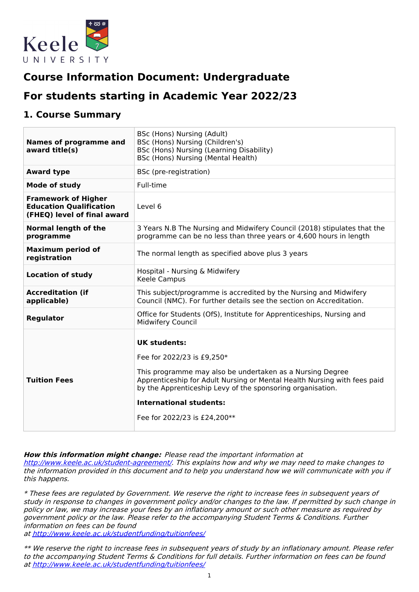

# **Course Information Document: Undergraduate**

# **For students starting in Academic Year 2022/23**

### **1. Course Summary**

| <b>Names of programme and</b><br>award title(s)                                             | BSc (Hons) Nursing (Adult)<br>BSc (Hons) Nursing (Children's)<br>BSc (Hons) Nursing (Learning Disability)<br>BSc (Hons) Nursing (Mental Health)                                                                                                                                                                     |
|---------------------------------------------------------------------------------------------|---------------------------------------------------------------------------------------------------------------------------------------------------------------------------------------------------------------------------------------------------------------------------------------------------------------------|
| <b>Award type</b>                                                                           | BSc (pre-registration)                                                                                                                                                                                                                                                                                              |
| Mode of study                                                                               | Full-time                                                                                                                                                                                                                                                                                                           |
| <b>Framework of Higher</b><br><b>Education Qualification</b><br>(FHEQ) level of final award | Level 6                                                                                                                                                                                                                                                                                                             |
| <b>Normal length of the</b><br>programme                                                    | 3 Years N.B The Nursing and Midwifery Council (2018) stipulates that the<br>programme can be no less than three years or 4,600 hours in length                                                                                                                                                                      |
| <b>Maximum period of</b><br>registration                                                    | The normal length as specified above plus 3 years                                                                                                                                                                                                                                                                   |
| <b>Location of study</b>                                                                    | Hospital - Nursing & Midwifery<br>Keele Campus                                                                                                                                                                                                                                                                      |
| <b>Accreditation (if</b><br>applicable)                                                     | This subject/programme is accredited by the Nursing and Midwifery<br>Council (NMC). For further details see the section on Accreditation.                                                                                                                                                                           |
| Regulator                                                                                   | Office for Students (OfS), Institute for Apprenticeships, Nursing and<br>Midwifery Council                                                                                                                                                                                                                          |
| <b>Tuition Fees</b>                                                                         | UK students:<br>Fee for 2022/23 is £9,250*<br>This programme may also be undertaken as a Nursing Degree<br>Apprenticeship for Adult Nursing or Mental Health Nursing with fees paid<br>by the Apprenticeship Levy of the sponsoring organisation.<br><b>International students:</b><br>Fee for 2022/23 is £24,200** |

**How this information might change:** Please read the important information at

<http://www.keele.ac.uk/student-agreement/>. This explains how and why we may need to make changes to the information provided in this document and to help you understand how we will communicate with you if this happens.

\* These fees are regulated by Government. We reserve the right to increase fees in subsequent years of study in response to changes in government policy and/or changes to the law. If permitted by such change in policy or law, we may increase your fees by an inflationary amount or such other measure as required by government policy or the law. Please refer to the accompanying Student Terms & Conditions. Further information on fees can be found

at <http://www.keele.ac.uk/studentfunding/tuitionfees/>

\*\* We reserve the right to increase fees in subsequent years of study by an inflationary amount. Please refer to the accompanying Student Terms & Conditions for full details. Further information on fees can be found at <http://www.keele.ac.uk/studentfunding/tuitionfees/>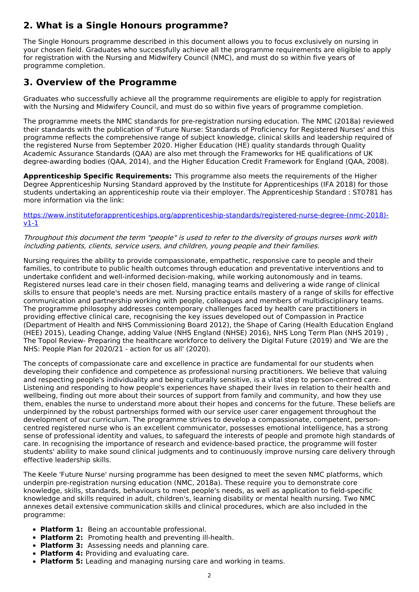# **2. What is a Single Honours programme?**

The Single Honours programme described in this document allows you to focus exclusively on nursing in your chosen field. Graduates who successfully achieve all the programme requirements are eligible to apply for registration with the Nursing and Midwifery Council (NMC), and must do so within five years of programme completion.

# **3. Overview of the Programme**

Graduates who successfully achieve all the programme requirements are eligible to apply for registration with the Nursing and Midwifery Council, and must do so within five years of programme completion.

The programme meets the NMC standards for pre-registration nursing education. The NMC (2018a) reviewed their standards with the publication of 'Future Nurse: Standards of Proficiency for Registered Nurses' and this programme reflects the comprehensive range of subject knowledge, clinical skills and leadership required of the registered Nurse from September 2020. Higher Education (HE) quality standards through Quality Academic Assurance Standards (QAA) are also met through the Frameworks for HE qualifications of UK degree-awarding bodies (QAA, 2014), and the Higher Education Credit Framework for England (QAA, 2008).

**Apprenticeship Specific Requirements:** This programme also meets the requirements of the Higher Degree Apprenticeship Nursing Standard approved by the Institute for Apprenticeships (IFA 2018) for those students undertaking an apprenticeship route via their employer. The Apprenticeship Standard : ST0781 has more information via the link:

[https://www.instituteforapprenticeships.org/apprenticeship-standards/registered-nurse-degree-\(nmc-2018\)](https://www.instituteforapprenticeships.org/apprenticeship-standards/registered-nurse-degree-(nmc-2018)-v1-1) v1-1

### Throughout this document the term "people" is used to refer to the diversity of groups nurses work with including patients, clients, service users, and children, young people and their families.

Nursing requires the ability to provide compassionate, empathetic, responsive care to people and their families, to contribute to public health outcomes through education and preventative interventions and to undertake confident and well-informed decision-making, while working autonomously and in teams. Registered nurses lead care in their chosen field, managing teams and delivering a wide range of clinical skills to ensure that people's needs are met. Nursing practice entails mastery of a range of skills for effective communication and partnership working with people, colleagues and members of multidisciplinary teams. The programme philosophy addresses contemporary challenges faced by health care practitioners in providing effective clinical care, recognising the key issues developed out of Compassion in Practice (Department of Health and NHS Commissioning Board 2012), the Shape of Caring (Health Education England (HEE) 2015), Leading Change, adding Value (NHS England (NHSE) 2016), NHS Long Term Plan (NHS 2019) , The Topol Review- Preparing the healthcare workforce to delivery the Digital Future (2019) and 'We are the NHS: People Plan for 2020/21 - action for us all' (2020).

The concepts of compassionate care and excellence in practice are fundamental for our students when developing their confidence and competence as professional nursing practitioners. We believe that valuing and respecting people's individuality and being culturally sensitive, is a vital step to person-centred care. Listening and responding to how people's experiences have shaped their lives in relation to their health and wellbeing, finding out more about their sources of support from family and community, and how they use them, enables the nurse to understand more about their hopes and concerns for the future. These beliefs are underpinned by the robust partnerships formed with our service user carer engagement throughout the development of our curriculum. The programme strives to develop a compassionate, competent, personcentred registered nurse who is an excellent communicator, possesses emotional intelligence, has a strong sense of professional identity and values, to safeguard the interests of people and promote high standards of care. In recognising the importance of research and evidence-based practice, the programme will foster students' ability to make sound clinical judgments and to continuously improve nursing care delivery through effective leadership skills.

The Keele 'Future Nurse' nursing programme has been designed to meet the seven NMC platforms, which underpin pre-registration nursing education (NMC, 2018a). These require you to demonstrate core knowledge, skills, standards, behaviours to meet people's needs, as well as application to field-specific knowledge and skills required in adult, children's, learning disability or mental health nursing. Two NMC annexes detail extensive communication skills and clinical procedures, which are also included in the programme:

- **Platform 1:** Being an accountable professional.
- **Platform 2:** Promoting health and preventing ill-health.
- **Platform 3:** Assessing needs and planning care.
- **Platform 4:** Providing and evaluating care.
- **Platform 5:** Leading and managing nursing care and working in teams.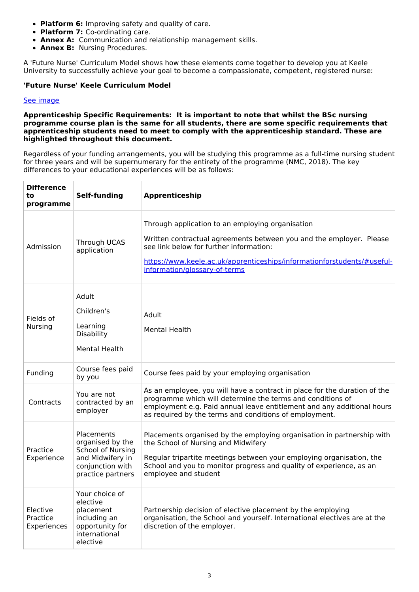- **Platform 6:** Improving safety and quality of care.
- **Platform 7:** Co-ordinating care.
- **Annex A:** Communication and relationship management skills.
- **Annex B:** Nursing Procedures.

A 'Future Nurse' Curriculum Model shows how these elements come together to develop you at Keele University to successfully achieve your goal to become a compassionate, competent, registered nurse:

### **'Future Nurse' Keele Curriculum Model**

#### See [image](https://keeleacuk.sharepoint.com/:i:/s/SAS-QualityAssuranceSharedFiles/ETNyyMFbjZRAhFWKQS0PNOsBqq7JqHfBU8Xb0WbekiTdEQ?e=cha6vT)

#### **Apprenticeship Specific Requirements: It is important to note that whilst the BSc nursing programme course plan is the same for all students, there are some specific requirements that apprenticeship students need to meet to comply with the apprenticeship standard. These are highlighted throughout this document.**

Regardless of your funding arrangements, you will be studying this programme as a full-time nursing student for three years and will be supernumerary for the entirety of the programme (NMC, 2018). The key differences to your educational experiences will be as follows:

| <b>Difference</b><br>to<br>programme | <b>Self-funding</b>                                                                                              | Apprenticeship                                                                                                                                                                                                                                                                       |
|--------------------------------------|------------------------------------------------------------------------------------------------------------------|--------------------------------------------------------------------------------------------------------------------------------------------------------------------------------------------------------------------------------------------------------------------------------------|
| Admission                            | Through UCAS<br>application                                                                                      | Through application to an employing organisation<br>Written contractual agreements between you and the employer. Please<br>see link below for further information:<br>https://www.keele.ac.uk/apprenticeships/informationforstudents/#useful-<br>information/glossary-of-terms       |
| Fields of<br><b>Nursing</b>          | Adult<br>Children's<br>Learning<br>Disability<br><b>Mental Health</b>                                            | Adult<br><b>Mental Health</b>                                                                                                                                                                                                                                                        |
| Funding                              | Course fees paid<br>by you                                                                                       | Course fees paid by your employing organisation                                                                                                                                                                                                                                      |
| Contracts                            | You are not<br>contracted by an<br>employer                                                                      | As an employee, you will have a contract in place for the duration of the<br>programme which will determine the terms and conditions of<br>employment e.g. Paid annual leave entitlement and any additional hours<br>as required by the terms and conditions of employment.          |
| Practice<br>Experience               | Placements<br>organised by the<br>School of Nursing<br>and Midwifery in<br>conjunction with<br>practice partners | Placements organised by the employing organisation in partnership with<br>the School of Nursing and Midwifery<br>Regular tripartite meetings between your employing organisation, the<br>School and you to monitor progress and quality of experience, as an<br>employee and student |
| Elective<br>Practice<br>Experiences  | Your choice of<br>elective<br>placement<br>including an<br>opportunity for<br>international<br>elective          | Partnership decision of elective placement by the employing<br>organisation, the School and yourself. International electives are at the<br>discretion of the employer.                                                                                                              |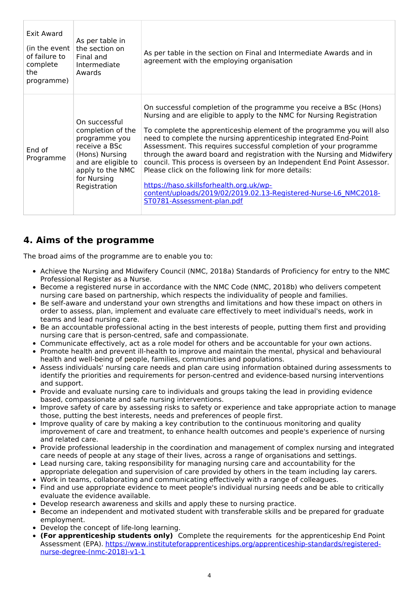| Exit Award<br>(in the event<br>of failure to<br>complete<br>the<br>programme) | As per table in<br>the section on<br>Final and<br>Intermediate<br>Awards                                                                                         | As per table in the section on Final and Intermediate Awards and in<br>agreement with the employing organisation                                                                                                                                                                                                                                                                                                                                                                                                                                                                                                                                                                                                        |
|-------------------------------------------------------------------------------|------------------------------------------------------------------------------------------------------------------------------------------------------------------|-------------------------------------------------------------------------------------------------------------------------------------------------------------------------------------------------------------------------------------------------------------------------------------------------------------------------------------------------------------------------------------------------------------------------------------------------------------------------------------------------------------------------------------------------------------------------------------------------------------------------------------------------------------------------------------------------------------------------|
| End of<br>Programme                                                           | On successful<br>completion of the<br>programme you<br>receive a BSc<br>(Hons) Nursing<br>and are eligible to<br>apply to the NMC<br>for Nursing<br>Registration | On successful completion of the programme you receive a BSc (Hons)<br>Nursing and are eligible to apply to the NMC for Nursing Registration<br>To complete the apprenticeship element of the programme you will also<br>need to complete the nursing apprenticeship integrated End-Point<br>Assessment. This requires successful completion of your programme<br>through the award board and registration with the Nursing and Midwifery<br>council. This process is overseen by an Independent End Point Assessor.<br>Please click on the following link for more details:<br>https://haso.skillsforhealth.org.uk/wp-<br>content/uploads/2019/02/2019.02.13-Registered-Nurse-L6 NMC2018-<br>ST0781-Assessment-plan.pdf |

# **4. Aims of the programme**

The broad aims of the programme are to enable you to:

- Achieve the Nursing and Midwifery Council (NMC, 2018a) Standards of Proficiency for entry to the NMC Professional Register as a Nurse.
- Become a registered nurse in accordance with the NMC Code (NMC, 2018b) who delivers competent nursing care based on partnership, which respects the individuality of people and families.
- Be self-aware and understand your own strengths and limitations and how these impact on others in order to assess, plan, implement and evaluate care effectively to meet individual's needs, work in teams and lead nursing care.
- Be an accountable professional acting in the best interests of people, putting them first and providing nursing care that is person-centred, safe and compassionate.
- Communicate effectively, act as a role model for others and be accountable for your own actions.
- Promote health and prevent ill-health to improve and maintain the mental, physical and behavioural health and well-being of people, families, communities and populations.
- Assess individuals' nursing care needs and plan care using information obtained during assessments to identify the priorities and requirements for person-centred and evidence-based nursing interventions and support.
- Provide and evaluate nursing care to individuals and groups taking the lead in providing evidence based, compassionate and safe nursing interventions.
- Improve safety of care by assessing risks to safety or experience and take appropriate action to manage those, putting the best interests, needs and preferences of people first.
- Improve quality of care by making a key contribution to the continuous monitoring and quality improvement of care and treatment, to enhance health outcomes and people's experience of nursing and related care.
- Provide professional leadership in the coordination and management of complex nursing and integrated care needs of people at any stage of their lives, across a range of organisations and settings.
- Lead nursing care, taking responsibility for managing nursing care and accountability for the appropriate delegation and supervision of care provided by others in the team including lay carers.
- Work in teams, collaborating and communicating effectively with a range of colleagues.
- Find and use appropriate evidence to meet people's individual nursing needs and be able to critically evaluate the evidence available.
- Develop research awareness and skills and apply these to nursing practice.
- Become an independent and motivated student with transferable skills and be prepared for graduate employment.
- Develop the concept of life-long learning.
- **(For apprenticeship students only)** Complete the requirements for the apprenticeship End Point Assessment (EPA). [https://www.instituteforapprenticeships.org/apprenticeship-standards/registered](https://www.instituteforapprenticeships.org/apprenticeship-standards/registered-nurse-degree-(nmc-2018)-v1-1)nurse-degree-(nmc-2018)-v1-1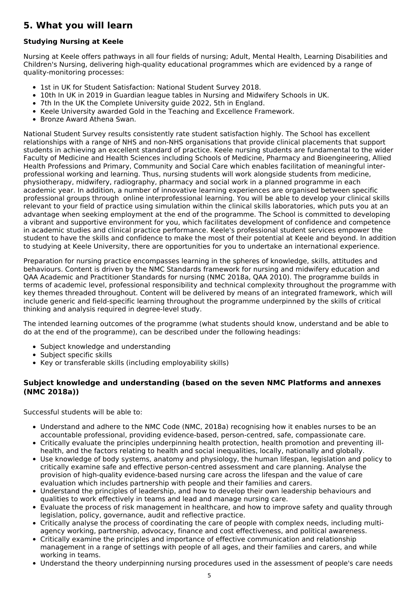# **5. What you will learn**

### **Studying Nursing at Keele**

Nursing at Keele offers pathways in all four fields of nursing; Adult, Mental Health, Learning Disabilities and Children's Nursing, delivering high-quality educational programmes which are evidenced by a range of quality-monitoring processes:

- 1st in UK for Student Satisfaction: National Student Survey 2018.
- 10th In UK in 2019 in Guardian league tables in Nursing and Midwifery Schools in UK.
- 7th In the UK the Complete University guide 2022, 5th in England.
- Keele University awarded Gold in the Teaching and Excellence Framework.
- Bronze Award Athena Swan.

National Student Survey results consistently rate student satisfaction highly. The School has excellent relationships with a range of NHS and non-NHS organisations that provide clinical placements that support students in achieving an excellent standard of practice. Keele nursing students are fundamental to the wider Faculty of Medicine and Health Sciences including Schools of Medicine, Pharmacy and Bioengineering, Allied Health Professions and Primary, Community and Social Care which enables facilitation of meaningful interprofessional working and learning. Thus, nursing students will work alongside students from medicine, physiotherapy, midwifery, radiography, pharmacy and social work in a planned programme in each academic year. In addition, a number of innovative learning experiences are organised between specific professional groups through online interprofessional learning. You will be able to develop your clinical skills relevant to your field of practice using simulation within the clinical skills laboratories, which puts you at an advantage when seeking employment at the end of the programme. The School is committed to developing a vibrant and supportive environment for you, which facilitates development of confidence and competence in academic studies and clinical practice performance. Keele's professional student services empower the student to have the skills and confidence to make the most of their potential at Keele and beyond. In addition to studying at Keele University, there are opportunities for you to undertake an international experience.

Preparation for nursing practice encompasses learning in the spheres of knowledge, skills, attitudes and behaviours. Content is driven by the NMC Standards framework for nursing and midwifery education and QAA Academic and Practitioner Standards for nursing (NMC 2018a, QAA 2010). The programme builds in terms of academic level, professional responsibility and technical complexity throughout the programme with key themes threaded throughout. Content will be delivered by means of an integrated framework, which will include generic and field-specific learning throughout the programme underpinned by the skills of critical thinking and analysis required in degree-level study.

The intended learning outcomes of the programme (what students should know, understand and be able to do at the end of the programme), can be described under the following headings:

- Subject knowledge and understanding
- Subject specific skills
- Key or transferable skills (including employability skills)

### **Subject knowledge and understanding (based on the seven NMC Platforms and annexes (NMC 2018a))**

Successful students will be able to:

- Understand and adhere to the NMC Code (NMC, 2018a) recognising how it enables nurses to be an accountable professional, providing evidence-based, person-centred, safe, compassionate care.
- Critically evaluate the principles underpinning health protection, health promotion and preventing illhealth, and the factors relating to health and social inequalities, locally, nationally and globally.
- Use knowledge of body systems, anatomy and physiology, the human lifespan, legislation and policy to critically examine safe and effective person-centred assessment and care planning. Analyse the provision of high-quality evidence-based nursing care across the lifespan and the value of care evaluation which includes partnership with people and their families and carers.
- Understand the principles of leadership, and how to develop their own leadership behaviours and qualities to work effectively in teams and lead and manage nursing care.
- Evaluate the process of risk management in healthcare, and how to improve safety and quality through legislation, policy, governance, audit and reflective practice.
- Critically analyse the process of coordinating the care of people with complex needs, including multiagency working, partnership, advocacy, finance and cost effectiveness, and political awareness.
- Critically examine the principles and importance of effective communication and relationship management in a range of settings with people of all ages, and their families and carers, and while working in teams.
- Understand the theory underpinning nursing procedures used in the assessment of people's care needs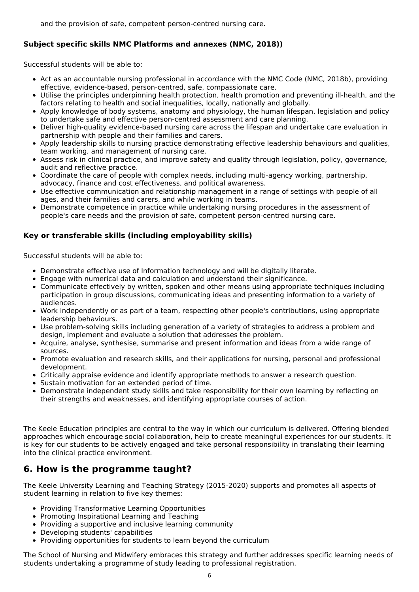### **Subject specific skills NMC Platforms and annexes (NMC, 2018))**

Successful students will be able to:

- Act as an accountable nursing professional in accordance with the NMC Code (NMC, 2018b), providing effective, evidence-based, person-centred, safe, compassionate care.
- Utilise the principles underpinning health protection, health promotion and preventing ill-health, and the factors relating to health and social inequalities, locally, nationally and globally.
- Apply knowledge of body systems, anatomy and physiology, the human lifespan, legislation and policy to undertake safe and effective person-centred assessment and care planning.
- Deliver high-quality evidence-based nursing care across the lifespan and undertake care evaluation in partnership with people and their families and carers.
- Apply leadership skills to nursing practice demonstrating effective leadership behaviours and qualities, team working, and management of nursing care.
- Assess risk in clinical practice, and improve safety and quality through legislation, policy, governance, audit and reflective practice.
- Coordinate the care of people with complex needs, including multi-agency working, partnership, advocacy, finance and cost effectiveness, and political awareness.
- Use effective communication and relationship management in a range of settings with people of all ages, and their families and carers, and while working in teams.
- Demonstrate competence in practice while undertaking nursing procedures in the assessment of people's care needs and the provision of safe, competent person-centred nursing care.

### **Key or transferable skills (including employability skills)**

Successful students will be able to:

- Demonstrate effective use of Information technology and will be digitally literate.
- Engage with numerical data and calculation and understand their significance.
- Communicate effectively by written, spoken and other means using appropriate techniques including participation in group discussions, communicating ideas and presenting information to a variety of audiences.
- Work independently or as part of a team, respecting other people's contributions, using appropriate leadership behaviours.
- Use problem-solving skills including generation of a variety of strategies to address a problem and design, implement and evaluate a solution that addresses the problem.
- Acquire, analyse, synthesise, summarise and present information and ideas from a wide range of sources.
- Promote evaluation and research skills, and their applications for nursing, personal and professional development.
- Critically appraise evidence and identify appropriate methods to answer a research question.
- Sustain motivation for an extended period of time.
- Demonstrate independent study skills and take responsibility for their own learning by reflecting on their strengths and weaknesses, and identifying appropriate courses of action.

The Keele Education principles are central to the way in which our curriculum is delivered. Offering blended approaches which encourage social collaboration, help to create meaningful experiences for our students. It is key for our students to be actively engaged and take personal responsibility in translating their learning into the clinical practice environment.

# **6. How is the programme taught?**

The Keele University Learning and Teaching Strategy (2015-2020) supports and promotes all aspects of student learning in relation to five key themes:

- Providing Transformative Learning Opportunities
- Promoting Inspirational Learning and Teaching
- Providing a supportive and inclusive learning community
- Developing students' capabilities
- Providing opportunities for students to learn beyond the curriculum

The School of Nursing and Midwifery embraces this strategy and further addresses specific learning needs of students undertaking a programme of study leading to professional registration.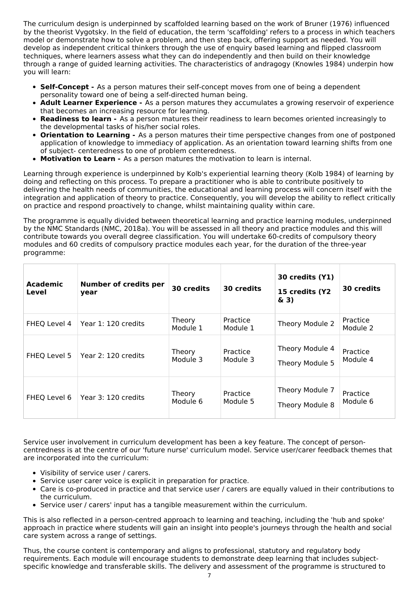The curriculum design is underpinned by scaffolded learning based on the work of Bruner (1976) influenced by the theorist Vygotsky. In the field of education, the term 'scaffolding' refers to a process in which teachers model or demonstrate how to solve a problem, and then step back, offering support as needed. You will develop as independent critical thinkers through the use of enquiry based learning and flipped classroom techniques, where learners assess what they can do independently and then build on their knowledge through a range of guided learning activities. The characteristics of andragogy (Knowles 1984) underpin how you will learn:

- **Self-Concept -** As a person matures their self-concept moves from one of being a dependent personality toward one of being a self-directed human being.
- **Adult Learner Experience -** As a person matures they accumulates a growing reservoir of experience that becomes an increasing resource for learning.
- **Readiness to learn -** As a person matures their readiness to learn becomes oriented increasingly to the developmental tasks of his/her social roles.
- **Orientation to Learning -** As a person matures their time perspective changes from one of postponed application of knowledge to immediacy of application. As an orientation toward learning shifts from one of subject- centeredness to one of problem centeredness.
- **Motivation to Learn -** As a person matures the motivation to learn is internal.

Learning through experience is underpinned by Kolb's experiential learning theory (Kolb 1984) of learning by doing and reflecting on this process. To prepare a practitioner who is able to contribute positively to delivering the health needs of communities, the educational and learning process will concern itself with the integration and application of theory to practice. Consequently, you will develop the ability to reflect critically on practice and respond proactively to change, whilst maintaining quality within care.

The programme is equally divided between theoretical learning and practice learning modules, underpinned by the NMC Standards (NMC, 2018a). You will be assessed in all theory and practice modules and this will contribute towards you overall degree classification. You will undertake 60-credits of compulsory theory modules and 60 credits of compulsory practice modules each year, for the duration of the three-year programme:

| Academic<br>Level | <b>Number of credits per</b><br>year | 30 credits                | 30 credits           | 30 credits (Y1)<br>15 credits (Y2<br>$\&$ 3) | 30 credits           |
|-------------------|--------------------------------------|---------------------------|----------------------|----------------------------------------------|----------------------|
| FHEQ Level 4      | Year 1: 120 credits                  | Theory<br>Module 1        | Practice<br>Module 1 | Theory Module 2                              | Practice<br>Module 2 |
| FHEQ Level 5      | Year 2: 120 credits                  | Theory<br>Module 3        | Practice<br>Module 3 | Theory Module 4<br>Theory Module 5           | Practice<br>Module 4 |
| FHEQ Level 6      | Year 3: 120 credits                  | <b>Theory</b><br>Module 6 | Practice<br>Module 5 | Theory Module 7<br>Theory Module 8           | Practice<br>Module 6 |

Service user involvement in curriculum development has been a key feature. The concept of personcentredness is at the centre of our 'future nurse' curriculum model. Service user/carer feedback themes that are incorporated into the curriculum:

- Visibility of service user / carers.
- Service user carer voice is explicit in preparation for practice.
- Care is co-produced in practice and that service user / carers are equally valued in their contributions to the curriculum.
- Service user / carers' input has a tangible measurement within the curriculum.

This is also reflected in a person-centred approach to learning and teaching, including the 'hub and spoke' approach in practice where students will gain an insight into people's journeys through the health and social care system across a range of settings.

Thus, the course content is contemporary and aligns to professional, statutory and regulatory body requirements. Each module will encourage students to demonstrate deep learning that includes subjectspecific knowledge and transferable skills. The delivery and assessment of the programme is structured to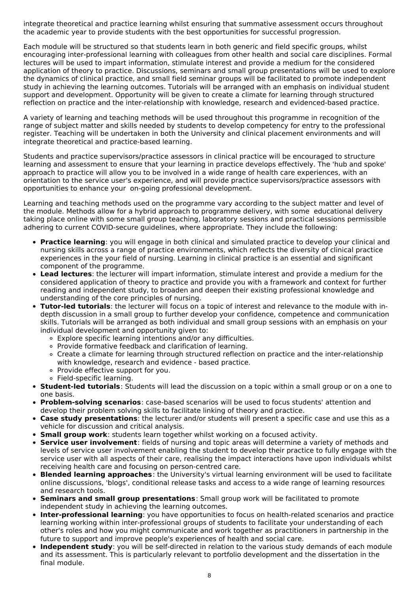integrate theoretical and practice learning whilst ensuring that summative assessment occurs throughout the academic year to provide students with the best opportunities for successful progression.

Each module will be structured so that students learn in both generic and field specific groups, whilst encouraging inter-professional learning with colleagues from other health and social care disciplines. Formal lectures will be used to impart information, stimulate interest and provide a medium for the considered application of theory to practice. Discussions, seminars and small group presentations will be used to explore the dynamics of clinical practice, and small field seminar groups will be facilitated to promote independent study in achieving the learning outcomes. Tutorials will be arranged with an emphasis on individual student support and development. Opportunity will be given to create a climate for learning through structured reflection on practice and the inter-relationship with knowledge, research and evidenced-based practice.

A variety of learning and teaching methods will be used throughout this programme in recognition of the range of subject matter and skills needed by students to develop competency for entry to the professional register. Teaching will be undertaken in both the University and clinical placement environments and will integrate theoretical and practice-based learning.

Students and practice supervisors/practice assessors in clinical practice will be encouraged to structure learning and assessment to ensure that your learning in practice develops effectively. The 'hub and spoke' approach to practice will allow you to be involved in a wide range of health care experiences, with an orientation to the service user's experience, and will provide practice supervisors/practice assessors with opportunities to enhance your on-going professional development.

Learning and teaching methods used on the programme vary according to the subject matter and level of the module. Methods allow for a hybrid approach to programme delivery, with some educational delivery taking place online with some small group teaching, laboratory sessions and practical sessions permissible adhering to current COVID-secure guidelines, where appropriate. They include the following:

- **Practice learning**: you will engage in both clinical and simulated practice to develop your clinical and nursing skills across a range of practice environments, which reflects the diversity of clinical practice experiences in the your field of nursing. Learning in clinical practice is an essential and significant component of the programme.
- **Lead lectures**: the lecturer will impart information, stimulate interest and provide a medium for the considered application of theory to practice and provide you with a framework and context for further reading and independent study, to broaden and deepen their existing professional knowledge and understanding of the core principles of nursing.
- **Tutor-led tutorials**: the lecturer will focus on a topic of interest and relevance to the module with indepth discussion in a small group to further develop your confidence, competence and communication skills. Tutorials will be arranged as both individual and small group sessions with an emphasis on your individual development and opportunity given to:
	- Explore specific learning intentions and/or any difficulties.
	- Provide formative feedback and clarification of learning.
	- Create a climate for learning through structured reflection on practice and the inter-relationship with knowledge, research and evidence - based practice.
	- Provide effective support for you.
	- Field-specific learning.
- **Student-led tutorials**: Students will lead the discussion on a topic within a small group or on a one to one basis.
- **Problem-solving scenarios**: case-based scenarios will be used to focus students' attention and develop their problem solving skills to facilitate linking of theory and practice.
- **Case study presentations**: the lecturer and/or students will present a specific case and use this as a vehicle for discussion and critical analysis.
	- **Small group work**: students learn together whilst working on a focused activity.
- **Service user involvement**: fields of nursing and topic areas will determine a variety of methods and levels of service user involvement enabling the student to develop their practice to fully engage with the service user with all aspects of their care, realising the impact interactions have upon individuals whilst receiving health care and focusing on person-centred care.
- **Blended learning approaches**: the University's virtual learning environment will be used to facilitate online discussions, 'blogs', conditional release tasks and access to a wide range of learning resources and research tools.
- **Seminars and small group presentations**: Small group work will be facilitated to promote independent study in achieving the learning outcomes.
- **Inter-professional learning**: you have opportunities to focus on health-related scenarios and practice learning working within inter-professional groups of students to facilitate your understanding of each other's roles and how you might communicate and work together as practitioners in partnership in the future to support and improve people's experiences of health and social care.
- **Independent study**: you will be self-directed in relation to the various study demands of each module and its assessment. This is particularly relevant to portfolio development and the dissertation in the final module.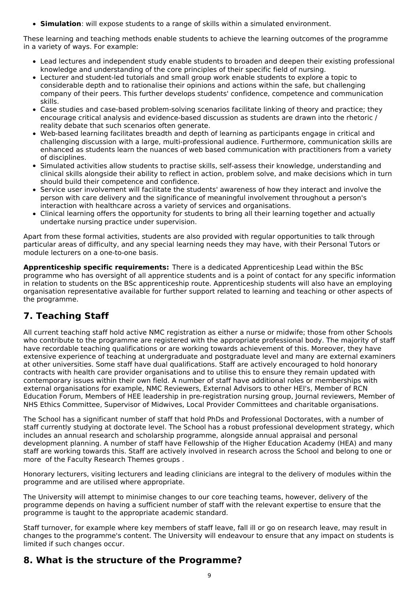**Simulation**: will expose students to a range of skills within a simulated environment.

These learning and teaching methods enable students to achieve the learning outcomes of the programme in a variety of ways. For example:

- Lead lectures and independent study enable students to broaden and deepen their existing professional knowledge and understanding of the core principles of their specific field of nursing.
- Lecturer and student-led tutorials and small group work enable students to explore a topic to considerable depth and to rationalise their opinions and actions within the safe, but challenging company of their peers. This further develops students' confidence, competence and communication skills.
- Case studies and case-based problem-solving scenarios facilitate linking of theory and practice; they encourage critical analysis and evidence-based discussion as students are drawn into the rhetoric / reality debate that such scenarios often generate.
- Web-based learning facilitates breadth and depth of learning as participants engage in critical and challenging discussion with a large, multi-professional audience. Furthermore, communication skills are enhanced as students learn the nuances of web based communication with practitioners from a variety of disciplines.
- Simulated activities allow students to practise skills, self-assess their knowledge, understanding and clinical skills alongside their ability to reflect in action, problem solve, and make decisions which in turn should build their competence and confidence.
- Service user involvement will facilitate the students' awareness of how they interact and involve the person with care delivery and the significance of meaningful involvement throughout a person's interaction with healthcare across a variety of services and organisations.
- Clinical learning offers the opportunity for students to bring all their learning together and actually undertake nursing practice under supervision.

Apart from these formal activities, students are also provided with regular opportunities to talk through particular areas of difficulty, and any special learning needs they may have, with their Personal Tutors or module lecturers on a one-to-one basis.

**Apprenticeship specific requirements:** There is a dedicated Apprenticeship Lead within the BSc programme who has oversight of all apprentice students and is a point of contact for any specific information in relation to students on the BSc apprenticeship route. Apprenticeship students will also have an employing organisation representative available for further support related to learning and teaching or other aspects of the programme.

# **7. Teaching Staff**

All current teaching staff hold active NMC registration as either a nurse or midwife; those from other Schools who contribute to the programme are registered with the appropriate professional body. The majority of staff have recordable teaching qualifications or are working towards achievement of this. Moreover, they have extensive experience of teaching at undergraduate and postgraduate level and many are external examiners at other universities. Some staff have dual qualifications. Staff are actively encouraged to hold honorary contracts with health care provider organisations and to utilise this to ensure they remain updated with contemporary issues within their own field. A number of staff have additional roles or memberships with external organisations for example, NMC Reviewers, External Advisors to other HEI's, Member of RCN Education Forum, Members of HEE leadership in pre-registration nursing group, Journal reviewers, Member of NHS Ethics Committee, Supervisor of Midwives, Local Provider Committees and charitable organisations.

The School has a significant number of staff that hold PhDs and Professional Doctorates, with a number of staff currently studying at doctorate level. The School has a robust professional development strategy, which includes an annual research and scholarship programme, alongside annual appraisal and personal development planning. A number of staff have Fellowship of the Higher Education Academy (HEA) and many staff are working towards this. Staff are actively involved in research across the School and belong to one or more of the Faculty Research Themes groups .

Honorary lecturers, visiting lecturers and leading clinicians are integral to the delivery of modules within the programme and are utilised where appropriate.

The University will attempt to minimise changes to our core teaching teams, however, delivery of the programme depends on having a sufficient number of staff with the relevant expertise to ensure that the programme is taught to the appropriate academic standard.

Staff turnover, for example where key members of staff leave, fall ill or go on research leave, may result in changes to the programme's content. The University will endeavour to ensure that any impact on students is limited if such changes occur.

# **8. What is the structure of the Programme?**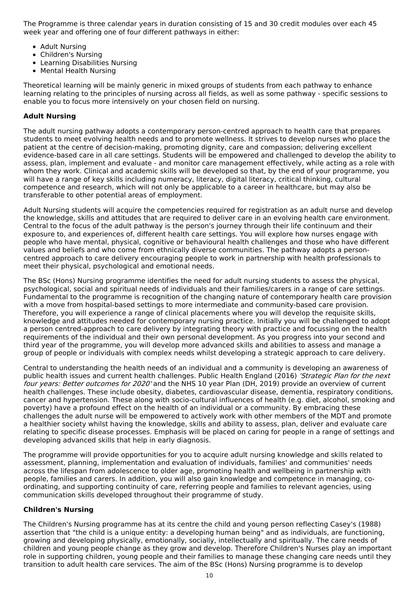The Programme is three calendar years in duration consisting of 15 and 30 credit modules over each 45 week year and offering one of four different pathways in either:

- Adult Nursing
- Children's Nursing
- Learning Disabilities Nursing
- Mental Health Nursing

Theoretical learning will be mainly generic in mixed groups of students from each pathway to enhance learning relating to the principles of nursing across all fields, as well as some pathway - specific sessions to enable you to focus more intensively on your chosen field on nursing.

### **Adult Nursing**

The adult nursing pathway adopts a contemporary person-centred approach to health care that prepares students to meet evolving health needs and to promote wellness. It strives to develop nurses who place the patient at the centre of decision-making, promoting dignity, care and compassion; delivering excellent evidence-based care in all care settings. Students will be empowered and challenged to develop the ability to assess, plan, implement and evaluate - and monitor care management effectively, while acting as a role with whom they work. Clinical and academic skills will be developed so that, by the end of your programme, you will have a range of key skills including numeracy, literacy, digital literacy, critical thinking, cultural competence and research, which will not only be applicable to a career in healthcare, but may also be transferable to other potential areas of employment.

Adult Nursing students will acquire the competencies required for registration as an adult nurse and develop the knowledge, skills and attitudes that are required to deliver care in an evolving health care environment. Central to the focus of the adult pathway is the person's journey through their life continuum and their exposure to, and experiences of, different health care settings. You will explore how nurses engage with people who have mental, physical, cognitive or behavioural health challenges and those who have different values and beliefs and who come from ethnically diverse communities. The pathway adopts a personcentred approach to care delivery encouraging people to work in partnership with health professionals to meet their physical, psychological and emotional needs.

The BSc (Hons) Nursing programme identifies the need for adult nursing students to assess the physical, psychological, social and spiritual needs of individuals and their families/carers in a range of care settings. Fundamental to the programme is recognition of the changing nature of contemporary health care provision with a move from hospital-based settings to more intermediate and community-based care provision. Therefore, you will experience a range of clinical placements where you will develop the requisite skills, knowledge and attitudes needed for contemporary nursing practice. Initially you will be challenged to adopt a person centred-approach to care delivery by integrating theory with practice and focussing on the health requirements of the individual and their own personal development. As you progress into your second and third year of the programme, you will develop more advanced skills and abilities to assess and manage a group of people or individuals with complex needs whilst developing a strategic approach to care delivery.

Central to understanding the health needs of an individual and a community is developing an awareness of public health issues and current health challenges. Public Health England (2016) 'Strategic Plan for the next four years: Better outcomes for 2020' and the NHS 10 year Plan (DH, 2019) provide an overview of current health challenges. These include obesity, diabetes, cardiovascular disease, dementia, respiratory conditions, cancer and hypertension. These along with socio-cultural influences of health (e.g. diet, alcohol, smoking and poverty) have a profound effect on the health of an individual or a community. By embracing these challenges the adult nurse will be empowered to actively work with other members of the MDT and promote a healthier society whilst having the knowledge, skills and ability to assess, plan, deliver and evaluate care relating to specific disease processes. Emphasis will be placed on caring for people in a range of settings and developing advanced skills that help in early diagnosis.

The programme will provide opportunities for you to acquire adult nursing knowledge and skills related to assessment, planning, implementation and evaluation of individuals, families' and communities' needs across the lifespan from adolescence to older age, promoting health and wellbeing in partnership with people, families and carers. In addition, you will also gain knowledge and competence in managing, coordinating, and supporting continuity of care, referring people and families to relevant agencies, using communication skills developed throughout their programme of study.

#### **Children's Nursing**

The Children's Nursing programme has at its centre the child and young person reflecting Casey's (1988) assertion that "the child is a unique entity: a developing human being" and as individuals, are functioning, growing and developing physically, emotionally, socially, intellectually and spiritually. The care needs of children and young people change as they grow and develop. Therefore Children's Nurses play an important role in supporting children, young people and their families to manage these changing care needs until they transition to adult health care services. The aim of the BSc (Hons) Nursing programme is to develop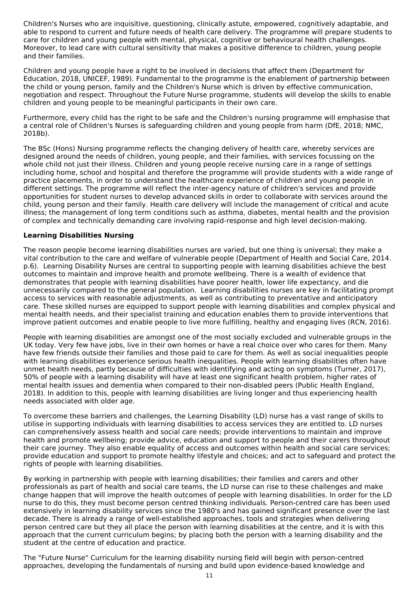Children's Nurses who are inquisitive, questioning, clinically astute, empowered, cognitively adaptable, and able to respond to current and future needs of health care delivery. The programme will prepare students to care for children and young people with mental, physical, cognitive or behavioural health challenges. Moreover, to lead care with cultural sensitivity that makes a positive difference to children, young people and their families.

Children and young people have a right to be involved in decisions that affect them (Department for Education, 2018, UNICEF, 1989). Fundamental to the programme is the enablement of partnership between the child or young person, family and the Children's Nurse which is driven by effective communication, negotiation and respect. Throughout the Future Nurse programme, students will develop the skills to enable children and young people to be meaningful participants in their own care.

Furthermore, every child has the right to be safe and the Children's nursing programme will emphasise that a central role of Children's Nurses is safeguarding children and young people from harm (DfE, 2018; NMC, 2018b).

The BSc (Hons) Nursing programme reflects the changing delivery of health care, whereby services are designed around the needs of children, young people, and their families, with services focussing on the whole child not just their illness. Children and young people receive nursing care in a range of settings including home, school and hospital and therefore the programme will provide students with a wide range of practice placements, in order to understand the healthcare experience of children and young people in different settings. The programme will reflect the inter-agency nature of children's services and provide opportunities for student nurses to develop advanced skills in order to collaborate with services around the child, young person and their family. Health care delivery will include the management of critical and acute illness; the management of long term conditions such as asthma, diabetes, mental health and the provision of complex and technically demanding care involving rapid-response and high level decision-making.

#### **Learning Disabilities Nursing**

The reason people become learning disabilities nurses are varied, but one thing is universal; they make a vital contribution to the care and welfare of vulnerable people (Department of Health and Social Care, 2014. p.6). Learning Disability Nurses are central to supporting people with learning disabilities achieve the best outcomes to maintain and improve health and promote wellbeing. There is a wealth of evidence that demonstrates that people with learning disabilities have poorer health, lower life expectancy, and die unnecessarily compared to the general population. Learning disabilities nurses are key in facilitating prompt access to services with reasonable adjustments, as well as contributing to preventative and anticipatory care. These skilled nurses are equipped to support people with learning disabilities and complex physical and mental health needs, and their specialist training and education enables them to provide interventions that improve patient outcomes and enable people to live more fulfilling, healthy and engaging lives (RCN, 2016).

People with learning disabilities are amongst one of the most socially excluded and vulnerable groups in the UK today. Very few have jobs, live in their own homes or have a real choice over who cares for them. Many have few friends outside their families and those paid to care for them. As well as social inequalities people with learning disabilities experience serious health inequalities. People with learning disabilities often have unmet health needs, partly because of difficulties with identifying and acting on symptoms (Turner, 2017), 50% of people with a learning disability will have at least one significant health problem, higher rates of mental health issues and dementia when compared to their non-disabled peers (Public Health England, 2018). In addition to this, people with learning disabilities are living longer and thus experiencing health needs associated with older age.

To overcome these barriers and challenges, the Learning Disability (LD) nurse has a vast range of skills to utilise in supporting individuals with learning disabilities to access services they are entitled to. LD nurses can comprehensively assess health and social care needs; provide interventions to maintain and improve health and promote wellbeing; provide advice, education and support to people and their carers throughout their care journey. They also enable equality of access and outcomes within health and social care services; provide education and support to promote healthy lifestyle and choices; and act to safeguard and protect the rights of people with learning disabilities.

By working in partnership with people with learning disabilities; their families and carers and other professionals as part of health and social care teams, the LD nurse can rise to these challenges and make change happen that will improve the health outcomes of people with learning disabilities. In order for the LD nurse to do this, they must become person centred thinking individuals. Person-centred care has been used extensively in learning disability services since the 1980's and has gained significant presence over the last decade. There is already a range of well-established approaches, tools and strategies when delivering person centred care but they all place the person with learning disabilities at the centre, and it is with this approach that the current curriculum begins; by placing both the person with a learning disability and the student at the centre of education and practice.

The "Future Nurse" Curriculum for the learning disability nursing field will begin with person-centred approaches, developing the fundamentals of nursing and build upon evidence-based knowledge and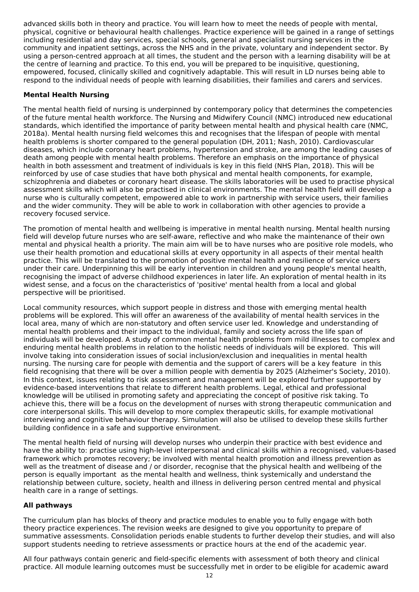advanced skills both in theory and practice. You will learn how to meet the needs of people with mental, physical, cognitive or behavioural health challenges. Practice experience will be gained in a range of settings including residential and day services, special schools, general and specialist nursing services in the community and inpatient settings, across the NHS and in the private, voluntary and independent sector. By using a person-centred approach at all times, the student and the person with a learning disability will be at the centre of learning and practice. To this end, you will be prepared to be inquisitive, questioning, empowered, focused, clinically skilled and cognitively adaptable. This will result in LD nurses being able to respond to the individual needs of people with learning disabilities, their families and carers and services.

### **Mental Health Nursing**

The mental health field of nursing is underpinned by contemporary policy that determines the competencies of the future mental health workforce. The Nursing and Midwifery Council (NMC) introduced new educational standards, which identified the importance of parity between mental health and physical health care (NMC, 2018a). Mental health nursing field welcomes this and recognises that the lifespan of people with mental health problems is shorter compared to the general population (DH, 2011; Nash, 2010). Cardiovascular diseases, which include coronary heart problems, hypertension and stroke, are among the leading causes of death among people with mental health problems. Therefore an emphasis on the importance of physical health in both assessment and treatment of individuals is key in this field (NHS Plan, 2018). This will be reinforced by use of case studies that have both physical and mental health components, for example, schizophrenia and diabetes or coronary heart disease. The skills laboratories will be used to practise physical assessment skills which will also be practised in clinical environments. The mental health field will develop a nurse who is culturally competent, empowered able to work in partnership with service users, their families and the wider community. They will be able to work in collaboration with other agencies to provide a recovery focused service.

The promotion of mental health and wellbeing is imperative in mental health nursing. Mental health nursing field will develop future nurses who are self-aware, reflective and who make the maintenance of their own mental and physical health a priority. The main aim will be to have nurses who are positive role models, who use their health promotion and educational skills at every opportunity in all aspects of their mental health practice. This will be translated to the promotion of positive mental health and resilience of service users under their care. Underpinning this will be early intervention in children and young people's mental health, recognising the impact of adverse childhood experiences in later life. An exploration of mental health in its widest sense, and a focus on the characteristics of 'positive' mental health from a local and global perspective will be prioritised.

Local community resources, which support people in distress and those with emerging mental health problems will be explored. This will offer an awareness of the availability of mental health services in the local area, many of which are non-statutory and often service user led. Knowledge and understanding of mental health problems and their impact to the individual, family and society across the life span of individuals will be developed. A study of common mental health problems from mild illnesses to complex and enduring mental health problems in relation to the holistic needs of individuals will be explored. This will involve taking into consideration issues of social inclusion/exclusion and inequalities in mental health nursing. The nursing care for people with dementia and the support of carers will be a key feature in this field recognising that there will be over a million people with dementia by 2025 (Alzheimer's Society, 2010). In this context, issues relating to risk assessment and management will be explored further supported by evidence-based interventions that relate to different health problems. Legal, ethical and professional knowledge will be utilised in promoting safety and appreciating the concept of positive risk taking. To achieve this, there will be a focus on the development of nurses with strong therapeutic communication and core interpersonal skills. This will develop to more complex therapeutic skills, for example motivational interviewing and cognitive behaviour therapy. Simulation will also be utilised to develop these skills further building confidence in a safe and supportive environment.

The mental health field of nursing will develop nurses who underpin their practice with best evidence and have the ability to: practise using high-level interpersonal and clinical skills within a recognised, values-based framework which promotes recovery; be involved with mental health promotion and illness prevention as well as the treatment of disease and / or disorder, recognise that the physical health and wellbeing of the person is equally important as the mental health and wellness, think systemically and understand the relationship between culture, society, health and illness in delivering person centred mental and physical health care in a range of settings.

#### **All pathways**

The curriculum plan has blocks of theory and practice modules to enable you to fully engage with both theory practice experiences. The revision weeks are designed to give you opportunity to prepare of summative assessments. Consolidation periods enable students to further develop their studies, and will also support students needing to retrieve assessments or practice hours at the end of the academic year.

All four pathways contain generic and field-specific elements with assessment of both theory and clinical practice. All module learning outcomes must be successfully met in order to be eligible for academic award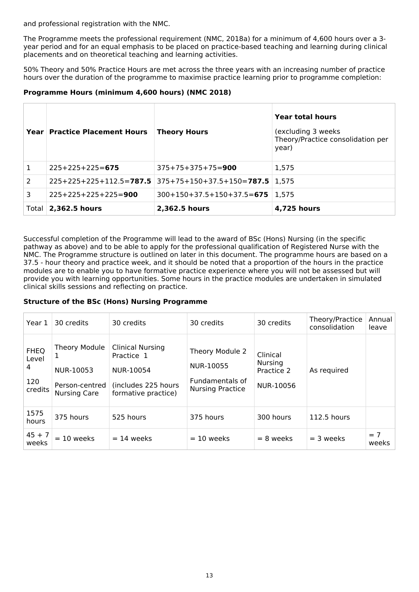and professional registration with the NMC.

The Programme meets the professional requirement (NMC, 2018a) for a minimum of 4,600 hours over a 3 year period and for an equal emphasis to be placed on practice-based teaching and learning during clinical placements and on theoretical teaching and learning activities.

50% Theory and 50% Practice Hours are met across the three years with an increasing number of practice hours over the duration of the programme to maximise practice learning prior to programme completion:

### **Programme Hours (minimum 4,600 hours) (NMC 2018)**

|   | Year   Practice Placement Hours | <b>Theory Hours</b>                                       | Year total hours<br>(excluding 3 weeks)<br>Theory/Practice consolidation per<br>year) |
|---|---------------------------------|-----------------------------------------------------------|---------------------------------------------------------------------------------------|
|   | $225+225+225=675$               | $375+75+375+75=900$                                       | 1.575                                                                                 |
| 2 |                                 | $225+225+225+112.5=787.5$ 375+75+150+37.5+150=787.5 1,575 |                                                                                       |
| 3 | $225+225+225+225=900$           | $300+150+37.5+150+37.5=675$   1,575                       |                                                                                       |
|   | Total $ 2,362.5$ hours          | 2,362.5 hours                                             | 4,725 hours                                                                           |

Successful completion of the Programme will lead to the award of BSc (Hons) Nursing (in the specific pathway as above) and to be able to apply for the professional qualification of Registered Nurse with the NMC. The Programme structure is outlined on later in this document. The programme hours are based on a 37.5 - hour theory and practice week, and it should be noted that a proportion of the hours in the practice modules are to enable you to have formative practice experience where you will not be assessed but will provide you with learning opportunities. Some hours in the practice modules are undertaken in simulated clinical skills sessions and reflecting on practice.

### **Structure of the BSc (Hons) Nursing Programme**

| Year 1                                      | 30 credits                                                          | 30 credits                                                                                       | 30 credits                                                                 | 30 credits                                     | Theory/Practice<br>consolidation | Annual<br>leave |
|---------------------------------------------|---------------------------------------------------------------------|--------------------------------------------------------------------------------------------------|----------------------------------------------------------------------------|------------------------------------------------|----------------------------------|-----------------|
| <b>FHEQ</b><br>Level<br>4<br>120<br>credits | Theory Module<br>NUR-10053<br>Person-centred<br><b>Nursing Care</b> | <b>Clinical Nursing</b><br>Practice 1<br>NUR-10054<br>(includes 225 hours<br>formative practice) | Theory Module 2<br>NUR-10055<br>Fundamentals of<br><b>Nursing Practice</b> | Clinical<br>Nursing<br>Practice 2<br>NUR-10056 | As required                      |                 |
| 1575<br>hours                               | 375 hours                                                           | 525 hours                                                                                        | 375 hours                                                                  | 300 hours                                      | 112.5 hours                      |                 |
| $45 + 7$<br>weeks                           | $= 10$ weeks                                                        | $= 14$ weeks                                                                                     | $= 10$ weeks                                                               | $= 8$ weeks                                    | $=$ 3 weeks                      | $= 7$<br>weeks  |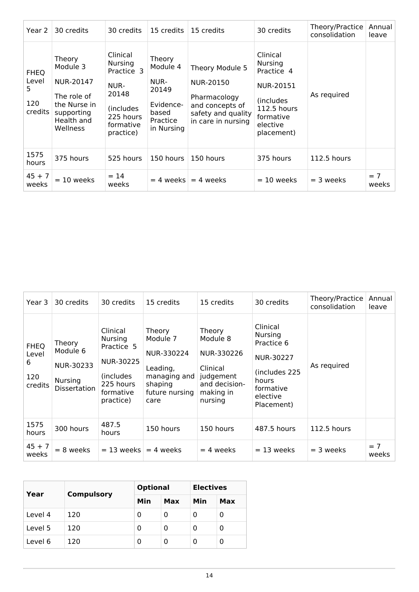| Year 2                                       | 30 credits                                                                                             | 30 credits                                                                                                     | 15 credits                                                                          | 15 credits                                                                                                  | 30 credits                                                                                                         | Theory/Practice<br>consolidation | Annual<br>leave |
|----------------------------------------------|--------------------------------------------------------------------------------------------------------|----------------------------------------------------------------------------------------------------------------|-------------------------------------------------------------------------------------|-------------------------------------------------------------------------------------------------------------|--------------------------------------------------------------------------------------------------------------------|----------------------------------|-----------------|
| <b>FHEQ</b><br>Level<br>5.<br>120<br>credits | Theory<br>Module 3<br>NUR-20147<br>The role of<br>the Nurse in<br>supporting<br>Health and<br>Wellness | Clinical<br><b>Nursing</b><br>Practice 3<br>NUR-<br>20148<br>(includes)<br>225 hours<br>formative<br>practice) | Theory<br>Module 4<br>NUR-<br>20149<br>Evidence-<br>based<br>Practice<br>in Nursing | Theory Module 5<br>NUR-20150<br>Pharmacology<br>and concepts of<br>safety and quality<br>in care in nursing | Clinical<br>Nursing<br>Practice 4<br>NUR-20151<br>(includes)<br>112.5 hours<br>formative<br>elective<br>placement) | As required                      |                 |
| 1575<br>hours                                | 375 hours                                                                                              | 525 hours                                                                                                      | 150 hours                                                                           | 150 hours                                                                                                   | 375 hours                                                                                                          | 112.5 hours                      |                 |
| $45 + 7$<br>weeks                            | $= 10$ weeks                                                                                           | $= 14$<br>weeks                                                                                                | $= 4$ weeks                                                                         | $= 4$ weeks                                                                                                 | $= 10$ weeks                                                                                                       | $=$ 3 weeks                      | $= 7$<br>weeks  |

| Year 3                                      | 30 credits                                                        | 30 credits                                                                                                 | 15 credits                                                                                            | 15 credits                                                                                         | 30 credits                                                                                                                    | Theory/Practice<br>consolidation | Annual<br>leave |
|---------------------------------------------|-------------------------------------------------------------------|------------------------------------------------------------------------------------------------------------|-------------------------------------------------------------------------------------------------------|----------------------------------------------------------------------------------------------------|-------------------------------------------------------------------------------------------------------------------------------|----------------------------------|-----------------|
| <b>FHEQ</b><br>Level<br>6<br>120<br>credits | Theory<br>Module 6<br>NUR-30233<br>Nursing<br><b>Dissertation</b> | Clinical<br><b>Nursing</b><br>Practice 5<br>NUR-30225<br>(includes)<br>225 hours<br>formative<br>practice) | Theory<br>Module 7<br>NUR-330224<br>Leading,<br>managing and $ $<br>shaping<br>future nursing<br>care | Theory<br>Module 8<br>NUR-330226<br>Clinical<br>judgement<br>and decision-<br>making in<br>nursing | Clinical<br><b>Nursing</b><br>Practice 6<br><b>NUR-30227</b><br>(includes 225<br>hours<br>formative<br>elective<br>Placement) | As required                      |                 |
| 1575<br>hours                               | 300 hours                                                         | 487.5<br>hours                                                                                             | 150 hours                                                                                             | 150 hours                                                                                          | 487.5 hours                                                                                                                   | $112.5$ hours                    |                 |
| $45 + 7$<br>weeks                           | = 8 weeks                                                         | $= 13$ weeks                                                                                               | $= 4$ weeks                                                                                           | $=$ 4 weeks                                                                                        | $= 13$ weeks                                                                                                                  | $=$ 3 weeks                      | $= 7$<br>weeks  |

|         |                   | <b>Optional</b> |     | <b>Electives</b> |     |
|---------|-------------------|-----------------|-----|------------------|-----|
| Year    | <b>Compulsory</b> | Min             | Max | Min              | Max |
| Level 4 | 120               | 0               | O   | O                | 0   |
| Level 5 | 120               | 0               | 0   | 0                | 0   |
| Level 6 | 120               | 0               | 0   | 0                | 0   |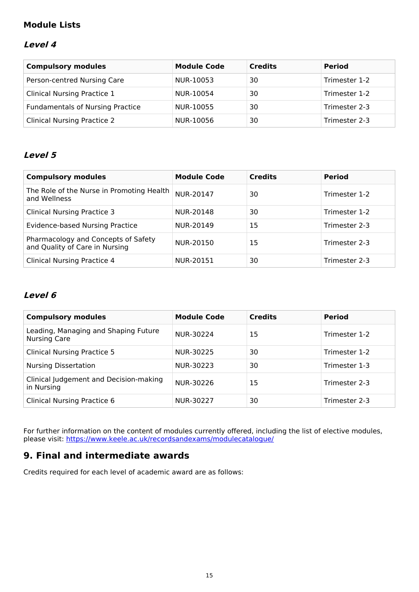# **Module Lists**

### **Level 4**

| <b>Compulsory modules</b>               | <b>Module Code</b> | <b>Credits</b> | <b>Period</b> |
|-----------------------------------------|--------------------|----------------|---------------|
| Person-centred Nursing Care             | NUR-10053          | 30             | Trimester 1-2 |
| <b>Clinical Nursing Practice 1</b>      | NUR-10054          | 30             | Trimester 1-2 |
| <b>Fundamentals of Nursing Practice</b> | NUR-10055          | 30             | Trimester 2-3 |
| <b>Clinical Nursing Practice 2</b>      | NUR-10056          | 30             | Trimester 2-3 |

### **Level 5**

| <b>Compulsory modules</b>                                             | <b>Module Code</b> | <b>Credits</b> | <b>Period</b> |
|-----------------------------------------------------------------------|--------------------|----------------|---------------|
| The Role of the Nurse in Promoting Health<br>and Wellness             | NUR-20147          | 30             | Trimester 1-2 |
| <b>Clinical Nursing Practice 3</b>                                    | NUR-20148          | 30             | Trimester 1-2 |
| Evidence-based Nursing Practice                                       | NUR-20149          | 15             | Trimester 2-3 |
| Pharmacology and Concepts of Safety<br>and Quality of Care in Nursing | NUR-20150          | 15             | Trimester 2-3 |
| <b>Clinical Nursing Practice 4</b>                                    | NUR-20151          | 30             | Trimester 2-3 |

### **Level 6**

| <b>Compulsory modules</b>                                   | <b>Module Code</b> | <b>Credits</b> | <b>Period</b> |
|-------------------------------------------------------------|--------------------|----------------|---------------|
| Leading, Managing and Shaping Future<br><b>Nursing Care</b> | NUR-30224          | 15             | Trimester 1-2 |
| <b>Clinical Nursing Practice 5</b>                          | NUR-30225          | 30             | Trimester 1-2 |
| <b>Nursing Dissertation</b>                                 | NUR-30223          | 30             | Trimester 1-3 |
| Clinical Judgement and Decision-making<br>in Nursing        | NUR-30226          | 15             | Trimester 2-3 |
| <b>Clinical Nursing Practice 6</b>                          | NUR-30227          | 30             | Trimester 2-3 |

For further information on the content of modules currently offered, including the list of elective modules, please visit: <https://www.keele.ac.uk/recordsandexams/modulecatalogue/>

# **9. Final and intermediate awards**

Credits required for each level of academic award are as follows: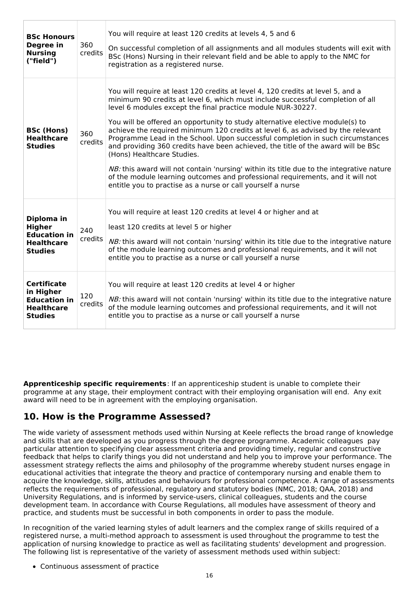| <b>BSc Honours</b><br>Degree in<br><b>Nursing</b><br>("field")                                | 360<br>credits | You will require at least 120 credits at levels 4, 5 and 6<br>On successful completion of all assignments and all modules students will exit with<br>BSc (Hons) Nursing in their relevant field and be able to apply to the NMC for<br>registration as a registered nurse.                                                                                                                                                                                                                                                                                                                                                                                                                                                                                                                                                                            |
|-----------------------------------------------------------------------------------------------|----------------|-------------------------------------------------------------------------------------------------------------------------------------------------------------------------------------------------------------------------------------------------------------------------------------------------------------------------------------------------------------------------------------------------------------------------------------------------------------------------------------------------------------------------------------------------------------------------------------------------------------------------------------------------------------------------------------------------------------------------------------------------------------------------------------------------------------------------------------------------------|
| <b>BSc (Hons)</b><br><b>Healthcare</b><br><b>Studies</b>                                      | 360<br>credits | You will require at least 120 credits at level 4, 120 credits at level 5, and a<br>minimum 90 credits at level 6, which must include successful completion of all<br>level 6 modules except the final practice module NUR-30227.<br>You will be offered an opportunity to study alternative elective module(s) to<br>achieve the required minimum 120 credits at level 6, as advised by the relevant<br>Programme Lead in the School. Upon successful completion in such circumstances<br>and providing 360 credits have been achieved, the title of the award will be BSc<br>(Hons) Healthcare Studies.<br>NB: this award will not contain 'nursing' within its title due to the integrative nature<br>of the module learning outcomes and professional requirements, and it will not<br>entitle you to practise as a nurse or call yourself a nurse |
| Diploma in<br><b>Higher</b><br><b>Education in</b><br><b>Healthcare</b><br><b>Studies</b>     | 240<br>credits | You will require at least 120 credits at level 4 or higher and at<br>least 120 credits at level 5 or higher<br>NB: this award will not contain 'nursing' within its title due to the integrative nature<br>of the module learning outcomes and professional requirements, and it will not<br>entitle you to practise as a nurse or call yourself a nurse                                                                                                                                                                                                                                                                                                                                                                                                                                                                                              |
| <b>Certificate</b><br>in Higher<br><b>Education in</b><br><b>Healthcare</b><br><b>Studies</b> | 120<br>credits | You will require at least 120 credits at level 4 or higher<br>NB: this award will not contain 'nursing' within its title due to the integrative nature<br>of the module learning outcomes and professional requirements, and it will not<br>entitle you to practise as a nurse or call yourself a nurse                                                                                                                                                                                                                                                                                                                                                                                                                                                                                                                                               |

**Apprenticeship specific requirements**: If an apprenticeship student is unable to complete their programme at any stage, their employment contract with their employing organisation will end. Any exit award will need to be in agreement with the employing organisation.

# **10. How is the Programme Assessed?**

The wide variety of assessment methods used within Nursing at Keele reflects the broad range of knowledge and skills that are developed as you progress through the degree programme. Academic colleagues pay particular attention to specifying clear assessment criteria and providing timely, regular and constructive feedback that helps to clarify things you did not understand and help you to improve your performance. The assessment strategy reflects the aims and philosophy of the programme whereby student nurses engage in educational activities that integrate the theory and practice of contemporary nursing and enable them to acquire the knowledge, skills, attitudes and behaviours for professional competence. A range of assessments reflects the requirements of professional, regulatory and statutory bodies (NMC, 2018; QAA, 2018) and University Regulations, and is informed by service-users, clinical colleagues, students and the course development team. In accordance with Course Regulations, all modules have assessment of theory and practice, and students must be successful in both components in order to pass the module.

In recognition of the varied learning styles of adult learners and the complex range of skills required of a registered nurse, a multi-method approach to assessment is used throughout the programme to test the application of nursing knowledge to practice as well as facilitating students' development and progression. The following list is representative of the variety of assessment methods used within subject:

Continuous assessment of practice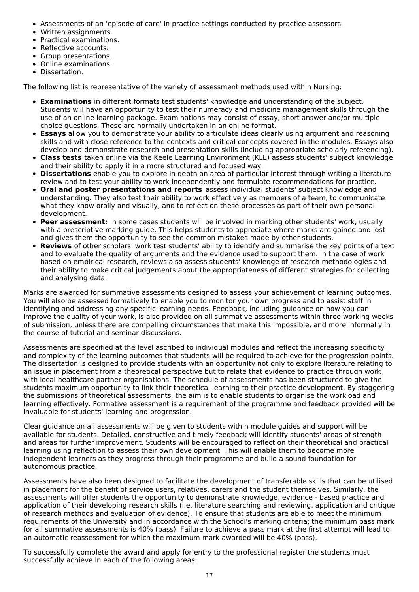- Assessments of an 'episode of care' in practice settings conducted by practice assessors.
- Written assignments.
- Practical examinations.
- Reflective accounts.
- Group presentations.
- Online examinations.
- Dissertation.

The following list is representative of the variety of assessment methods used within Nursing:

- **Examinations** in different formats test students' knowledge and understanding of the subject. Students will have an opportunity to test their numeracy and medicine management skills through the use of an online learning package. Examinations may consist of essay, short answer and/or multiple choice questions. These are normally undertaken in an online format.
- **Essays** allow you to demonstrate your ability to articulate ideas clearly using argument and reasoning skills and with close reference to the contexts and critical concepts covered in the modules. Essays also develop and demonstrate research and presentation skills (including appropriate scholarly referencing).
- **Class tests** taken online via the Keele Learning Environment (KLE) assess students' subject knowledge and their ability to apply it in a more structured and focused way.
- **Dissertations** enable you to explore in depth an area of particular interest through writing a literature review and to test your ability to work independently and formulate recommendations for practice.
- **Oral and poster presentations and reports** assess individual students' subject knowledge and understanding. They also test their ability to work effectively as members of a team, to communicate what they know orally and visually, and to reflect on these processes as part of their own personal development.
- **Peer assessment:** In some cases students will be involved in marking other students' work, usually with a prescriptive marking guide. This helps students to appreciate where marks are gained and lost and gives them the opportunity to see the common mistakes made by other students.
- **Reviews** of other scholars' work test students' ability to identify and summarise the key points of a text and to evaluate the quality of arguments and the evidence used to support them. In the case of work based on empirical research, reviews also assess students' knowledge of research methodologies and their ability to make critical judgements about the appropriateness of different strategies for collecting and analysing data.

Marks are awarded for summative assessments designed to assess your achievement of learning outcomes. You will also be assessed formatively to enable you to monitor your own progress and to assist staff in identifying and addressing any specific learning needs. Feedback, including guidance on how you can improve the quality of your work, is also provided on all summative assessments within three working weeks of submission, unless there are compelling circumstances that make this impossible, and more informally in the course of tutorial and seminar discussions.

Assessments are specified at the level ascribed to individual modules and reflect the increasing specificity and complexity of the learning outcomes that students will be required to achieve for the progression points. The dissertation is designed to provide students with an opportunity not only to explore literature relating to an issue in placement from a theoretical perspective but to relate that evidence to practice through work with local healthcare partner organisations. The schedule of assessments has been structured to give the students maximum opportunity to link their theoretical learning to their practice development. By staggering the submissions of theoretical assessments, the aim is to enable students to organise the workload and learning effectively. Formative assessment is a requirement of the programme and feedback provided will be invaluable for students' learning and progression.

Clear guidance on all assessments will be given to students within module guides and support will be available for students. Detailed, constructive and timely feedback will identify students' areas of strength and areas for further improvement. Students will be encouraged to reflect on their theoretical and practical learning using reflection to assess their own development. This will enable them to become more independent learners as they progress through their programme and build a sound foundation for autonomous practice.

Assessments have also been designed to facilitate the development of transferable skills that can be utilised in placement for the benefit of service users, relatives, carers and the student themselves. Similarly, the assessments will offer students the opportunity to demonstrate knowledge, evidence - based practice and application of their developing research skills (i.e. literature searching and reviewing, application and critique of research methods and evaluation of evidence). To ensure that students are able to meet the minimum requirements of the University and in accordance with the School's marking criteria; the minimum pass mark for all summative assessments is 40% (pass). Failure to achieve a pass mark at the first attempt will lead to an automatic reassessment for which the maximum mark awarded will be 40% (pass).

To successfully complete the award and apply for entry to the professional register the students must successfully achieve in each of the following areas: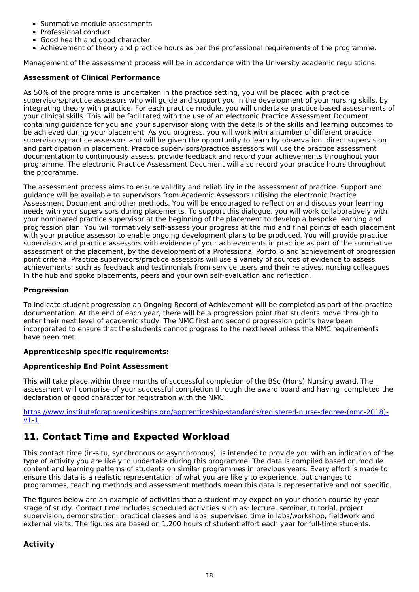- Summative module assessments
- Professional conduct
- Good health and good character.
- Achievement of theory and practice hours as per the professional requirements of the programme.

Management of the assessment process will be in accordance with the University academic regulations.

### **Assessment of Clinical Performance**

As 50% of the programme is undertaken in the practice setting, you will be placed with practice supervisors/practice assessors who will guide and support you in the development of your nursing skills, by integrating theory with practice. For each practice module, you will undertake practice based assessments of your clinical skills. This will be facilitated with the use of an electronic Practice Assessment Document containing guidance for you and your supervisor along with the details of the skills and learning outcomes to be achieved during your placement. As you progress, you will work with a number of different practice supervisors/practice assessors and will be given the opportunity to learn by observation, direct supervision and participation in placement. Practice supervisors/practice assessors will use the practice assessment documentation to continuously assess, provide feedback and record your achievements throughout your programme. The electronic Practice Assessment Document will also record your practice hours throughout the programme.

The assessment process aims to ensure validity and reliability in the assessment of practice. Support and guidance will be available to supervisors from Academic Assessors utilising the electronic Practice Assessment Document and other methods. You will be encouraged to reflect on and discuss your learning needs with your supervisors during placements. To support this dialogue, you will work collaboratively with your nominated practice supervisor at the beginning of the placement to develop a bespoke learning and progression plan. You will formatively self-assess your progress at the mid and final points of each placement with your practice assessor to enable ongoing development plans to be produced. You will provide practice supervisors and practice assessors with evidence of your achievements in practice as part of the summative assessment of the placement, by the development of a Professional Portfolio and achievement of progression point criteria. Practice supervisors/practice assessors will use a variety of sources of evidence to assess achievements; such as feedback and testimonials from service users and their relatives, nursing colleagues in the hub and spoke placements, peers and your own self-evaluation and reflection.

#### **Progression**

To indicate student progression an Ongoing Record of Achievement will be completed as part of the practice documentation. At the end of each year, there will be a progression point that students move through to enter their next level of academic study. The NMC first and second progression points have been incorporated to ensure that the students cannot progress to the next level unless the NMC requirements have been met.

#### **Apprenticeship specific requirements:**

#### **Apprenticeship End Point Assessment**

This will take place within three months of successful completion of the BSc (Hons) Nursing award. The assessment will comprise of your successful completion through the award board and having completed the declaration of good character for registration with the NMC.

[https://www.instituteforapprenticeships.org/apprenticeship-standards/registered-nurse-degree-\(nmc-2018\)](https://www.instituteforapprenticeships.org/apprenticeship-standards/registered-nurse-degree-(nmc-2018)-v1-1) v1-1

# **11. Contact Time and Expected Workload**

This contact time (in-situ, synchronous or asynchronous) is intended to provide you with an indication of the type of activity you are likely to undertake during this programme. The data is compiled based on module content and learning patterns of students on similar programmes in previous years. Every effort is made to ensure this data is a realistic representation of what you are likely to experience, but changes to programmes, teaching methods and assessment methods mean this data is representative and not specific.

The figures below are an example of activities that a student may expect on your chosen course by year stage of study. Contact time includes scheduled activities such as: lecture, seminar, tutorial, project supervision, demonstration, practical classes and labs, supervised time in labs/workshop, fieldwork and external visits. The figures are based on 1,200 hours of student effort each year for full-time students.

### **Activity**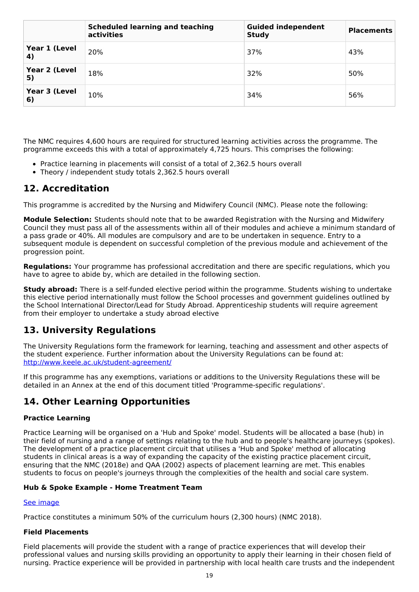|                                     | <b>Scheduled learning and teaching</b><br>activities | <b>Guided independent</b><br><b>Study</b> | <b>Placements</b> |
|-------------------------------------|------------------------------------------------------|-------------------------------------------|-------------------|
| Year 1 (Level<br>$\left( 4 \right)$ | 20%                                                  | 37%                                       | 43%               |
| Year 2 (Level<br>5)                 | 18%                                                  | 32%                                       | 50%               |
| Year 3 (Level<br>6)                 | 10%                                                  | 34%                                       | 56%               |

The NMC requires 4,600 hours are required for structured learning activities across the programme. The programme exceeds this with a total of approximately 4,725 hours. This comprises the following:

- Practice learning in placements will consist of a total of 2,362.5 hours overall
- Theory / independent study totals 2,362.5 hours overall

### **12. Accreditation**

This programme is accredited by the Nursing and Midwifery Council (NMC). Please note the following:

**Module Selection:** Students should note that to be awarded Registration with the Nursing and Midwifery Council they must pass all of the assessments within all of their modules and achieve a minimum standard of a pass grade or 40%. All modules are compulsory and are to be undertaken in sequence. Entry to a subsequent module is dependent on successful completion of the previous module and achievement of the progression point.

**Regulations:** Your programme has professional accreditation and there are specific regulations, which you have to agree to abide by, which are detailed in the following section.

**Study abroad:** There is a self-funded elective period within the programme. Students wishing to undertake this elective period internationally must follow the School processes and government guidelines outlined by the School International Director/Lead for Study Abroad. Apprenticeship students will require agreement from their employer to undertake a study abroad elective

# **13. University Regulations**

The University Regulations form the framework for learning, teaching and assessment and other aspects of the student experience. Further information about the University Regulations can be found at: <http://www.keele.ac.uk/student-agreement/>

If this programme has any exemptions, variations or additions to the University Regulations these will be detailed in an Annex at the end of this document titled 'Programme-specific regulations'.

# **14. Other Learning Opportunities**

#### **Practice Learning**

Practice Learning will be organised on a 'Hub and Spoke' model. Students will be allocated a base (hub) in their field of nursing and a range of settings relating to the hub and to people's healthcare journeys (spokes). The development of a practice placement circuit that utilises a 'Hub and Spoke' method of allocating students in clinical areas is a way of expanding the capacity of the existing practice placement circuit, ensuring that the NMC (2018e) and QAA (2002) aspects of placement learning are met. This enables students to focus on people's journeys through the complexities of the health and social care system.

#### **Hub & Spoke Example - Home Treatment Team**

#### See [image](https://keeleacuk.sharepoint.com/:i:/s/SAS-QualityAssuranceSharedFiles/EWSSG_czYj5MsamFZUQWVGABRa5jXfjbwfq8sBr6bYs5pg?e=WxjOsi)

Practice constitutes a minimum 50% of the curriculum hours (2,300 hours) (NMC 2018).

### **Field Placements**

Field placements will provide the student with a range of practice experiences that will develop their professional values and nursing skills providing an opportunity to apply their learning in their chosen field of nursing. Practice experience will be provided in partnership with local health care trusts and the independent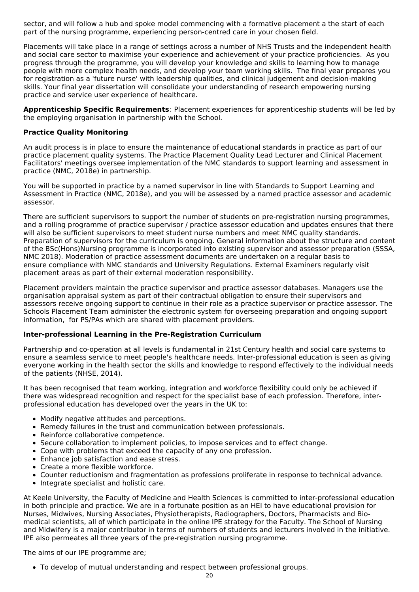sector, and will follow a hub and spoke model commencing with a formative placement a the start of each part of the nursing programme, experiencing person-centred care in your chosen field.

Placements will take place in a range of settings across a number of NHS Trusts and the independent health and social care sector to maximise your experience and achievement of your practice proficiencies. As you progress through the programme, you will develop your knowledge and skills to learning how to manage people with more complex health needs, and develop your team working skills. The final year prepares you for registration as a 'future nurse' with leadership qualities, and clinical judgement and decision-making skills. Your final year dissertation will consolidate your understanding of research empowering nursing practice and service user experience of healthcare.

**Apprenticeship Specific Requirements**: Placement experiences for apprenticeship students will be led by the employing organisation in partnership with the School.

#### **Practice Quality Monitoring**

An audit process is in place to ensure the maintenance of educational standards in practice as part of our practice placement quality systems. The Practice Placement Quality Lead Lecturer and Clinical Placement Facilitators' meetings oversee implementation of the NMC standards to support learning and assessment in practice (NMC, 2018e) in partnership.

You will be supported in practice by a named supervisor in line with Standards to Support Learning and Assessment in Practice (NMC, 2018e), and you will be assessed by a named practice assessor and academic assessor.

There are sufficient supervisors to support the number of students on pre-registration nursing programmes, and a rolling programme of practice supervisor / practice assessor education and updates ensures that there will also be sufficient supervisors to meet student nurse numbers and meet NMC quality standards. Preparation of supervisors for the curriculum is ongoing. General information about the structure and content of the BSc(Hons)Nursing programme is incorporated into existing supervisor and assessor preparation (SSSA, NMC 2018). Moderation of practice assessment documents are undertaken on a regular basis to ensure compliance with NMC standards and University Regulations. External Examiners regularly visit placement areas as part of their external moderation responsibility.

Placement providers maintain the practice supervisor and practice assessor databases. Managers use the organisation appraisal system as part of their contractual obligation to ensure their supervisors and assessors receive ongoing support to continue in their role as a practice supervisor or practice assessor. The Schools Placement Team administer the electronic system for overseeing preparation and ongoing support information, for PS/PAs which are shared with placement providers.

#### **Inter-professional Learning in the Pre-Registration Curriculum**

Partnership and co-operation at all levels is fundamental in 21st Century health and social care systems to ensure a seamless service to meet people's healthcare needs. Inter-professional education is seen as giving everyone working in the health sector the skills and knowledge to respond effectively to the individual needs of the patients (NHSE, 2014).

It has been recognised that team working, integration and workforce flexibility could only be achieved if there was widespread recognition and respect for the specialist base of each profession. Therefore, interprofessional education has developed over the years in the UK to:

- Modify negative attitudes and perceptions.
- Remedy failures in the trust and communication between professionals.
- Reinforce collaborative competence.
- Secure collaboration to implement policies, to impose services and to effect change.
- Cope with problems that exceed the capacity of any one profession.
- Enhance job satisfaction and ease stress.
- Create a more flexible workforce.
- Counter reductionism and fragmentation as professions proliferate in response to technical advance.
- Integrate specialist and holistic care.

At Keele University, the Faculty of Medicine and Health Sciences is committed to inter-professional education in both principle and practice. We are in a fortunate position as an HEI to have educational provision for Nurses, Midwives, Nursing Associates, Physiotherapists, Radiographers, Doctors, Pharmacists and Bio medical scientists, all of which participate in the online IPE strategy for the Faculty. The School of Nursing and Midwifery is a major contributor in terms of numbers of students and lecturers involved in the initiative. IPE also permeates all three years of the pre-registration nursing programme.

The aims of our IPE programme are;

To develop of mutual understanding and respect between professional groups.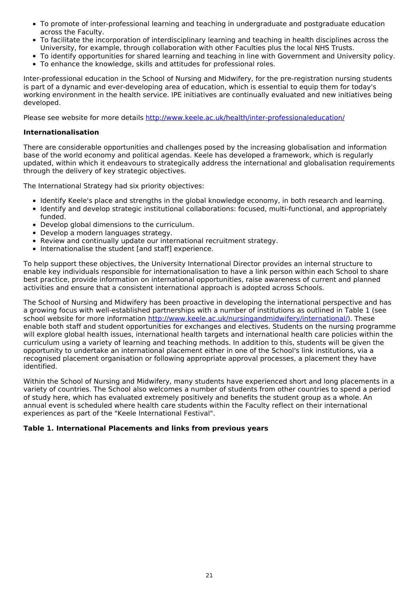- To promote of inter-professional learning and teaching in undergraduate and postgraduate education across the Faculty.
- To facilitate the incorporation of interdisciplinary learning and teaching in health disciplines across the University, for example, through collaboration with other Faculties plus the local NHS Trusts.
- To identify opportunities for shared learning and teaching in line with Government and University policy.
- To enhance the knowledge, skills and attitudes for professional roles.

Inter-professional education in the School of Nursing and Midwifery, for the pre-registration nursing students is part of a dynamic and ever-developing area of education, which is essential to equip them for today's working environment in the health service. IPE initiatives are continually evaluated and new initiatives being developed.

Please see website for more details [http://www.keele.ac.uk/health/inter-professionaleducation/](http://www.keele.ac.uk/health/interprofessionaleducation/)

### **Internationalisation**

There are considerable opportunities and challenges posed by the increasing globalisation and information base of the world economy and political agendas. Keele has developed a framework, which is regularly updated, within which it endeavours to strategically address the international and globalisation requirements through the delivery of key strategic objectives.

The International Strategy had six priority objectives:

- Identify Keele's place and strengths in the global knowledge economy, in both research and learning.
- Identify and develop strategic institutional collaborations: focused, multi-functional, and appropriately funded.
- Develop global dimensions to the curriculum.
- Develop a modern languages strategy.
- Review and continually update our international recruitment strategy.
- Internationalise the student [and staff] experience.

To help support these objectives, the University International Director provides an internal structure to enable key individuals responsible for internationalisation to have a link person within each School to share best practice, provide information on international opportunities, raise awareness of current and planned activities and ensure that a consistent international approach is adopted across Schools.

The School of Nursing and Midwifery has been proactive in developing the international perspective and has a growing focus with well-established partnerships with a number of institutions as outlined in Table 1 (see school website for more information <http://www.keele.ac.uk/nursingandmidwifery/international/>). These enable both staff and student opportunities for exchanges and electives. Students on the nursing programme will explore global health issues, international health targets and international health care policies within the curriculum using a variety of learning and teaching methods. In addition to this, students will be given the opportunity to undertake an international placement either in one of the School's link institutions, via a recognised placement organisation or following appropriate approval processes, a placement they have identified.

Within the School of Nursing and Midwifery, many students have experienced short and long placements in a variety of countries. The School also welcomes a number of students from other countries to spend a period of study here, which has evaluated extremely positively and benefits the student group as a whole. An annual event is scheduled where health care students within the Faculty reflect on their international experiences as part of the "Keele International Festival".

### **Table 1. International Placements and links from previous years**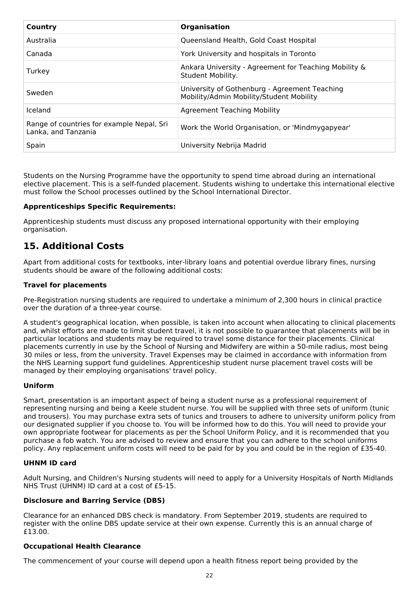| Country                                                          | <b>Organisation</b>                                                                       |
|------------------------------------------------------------------|-------------------------------------------------------------------------------------------|
| Australia                                                        | Queensland Health, Gold Coast Hospital                                                    |
| Canada                                                           | York University and hospitals in Toronto                                                  |
| Turkey                                                           | Ankara University - Agreement for Teaching Mobility &<br>Student Mobility.                |
| Sweden                                                           | University of Gothenburg - Agreement Teaching<br>Mobility/Admin Mobility/Student Mobility |
| Iceland                                                          | <b>Agreement Teaching Mobility</b>                                                        |
| Range of countries for example Nepal, Sri<br>Lanka, and Tanzania | Work the World Organisation, or 'Mindmygapyear'                                           |
| Spain                                                            | University Nebrija Madrid                                                                 |

Students on the Nursing Programme have the opportunity to spend time abroad during an international elective placement. This is a self-funded placement. Students wishing to undertake this international elective must follow the School processes outlined by the School International Director.

### **Apprenticeships Specific Requirements:**

Apprenticeship students must discuss any proposed international opportunity with their employing organisation.

# **15. Additional Costs**

Apart from additional costs for textbooks, inter-library loans and potential overdue library fines, nursing students should be aware of the following additional costs:

### **Travel for placements**

Pre-Registration nursing students are required to undertake a minimum of 2,300 hours in clinical practice over the duration of a three-year course.

A student's geographical location, when possible, is taken into account when allocating to clinical placements and, whilst efforts are made to limit student travel, it is not possible to guarantee that placements will be in particular locations and students may be required to travel some distance for their placements. Clinical placements currently in use by the School of Nursing and Midwifery are within a 50-mile radius, most being 30 miles or less, from the university. Travel Expenses may be claimed in accordance with information from the NHS Learning support fund guidelines. Apprenticeship student nurse placement travel costs will be managed by their employing organisations' travel policy.

#### **Uniform**

Smart, presentation is an important aspect of being a student nurse as a professional requirement of representing nursing and being a Keele student nurse. You will be supplied with three sets of uniform (tunic and trousers). You may purchase extra sets of tunics and trousers to adhere to university uniform policy from our designated supplier if you choose to. You will be informed how to do this. You will need to provide your own appropriate footwear for placements as per the School Uniform Policy, and it is recommended that you purchase a fob watch. You are advised to review and ensure that you can adhere to the school uniforms policy. Any replacement uniform costs will need to be paid for by you and could be in the region of £35-40.

#### **UHNM ID card**

Adult Nursing, and Children's Nursing students will need to apply for a University Hospitals of North Midlands NHS Trust (UHNM) ID card at a cost of £5-15.

#### **Disclosure and Barring Service (DBS)**

Clearance for an enhanced DBS check is mandatory. From September 2019, students are required to register with the online DBS update service at their own expense. Currently this is an annual charge of £13.00.

#### **Occupational Health Clearance**

The commencement of your course will depend upon a health fitness report being provided by the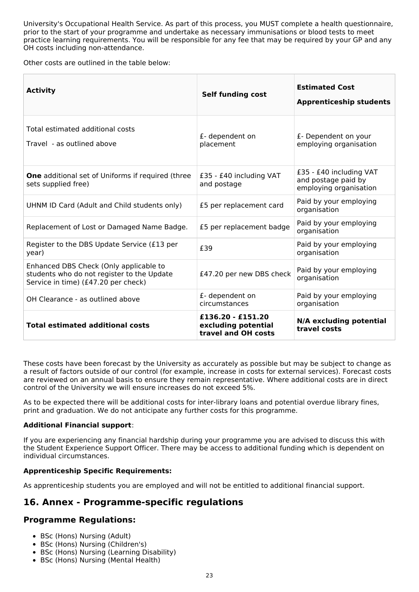University's Occupational Health Service. As part of this process, you MUST complete a health questionnaire, prior to the start of your programme and undertake as necessary immunisations or blood tests to meet practice learning requirements. You will be responsible for any fee that may be required by your GP and any OH costs including non-attendance.

Other costs are outlined in the table below:

| <b>Activity</b>                                                                                                             | <b>Self funding cost</b>                                          | <b>Estimated Cost</b><br><b>Apprenticeship students</b>                  |
|-----------------------------------------------------------------------------------------------------------------------------|-------------------------------------------------------------------|--------------------------------------------------------------------------|
| Total estimated additional costs<br>Travel - as outlined above                                                              | £- dependent on<br>placement                                      | £- Dependent on your<br>employing organisation                           |
| <b>One</b> additional set of Uniforms if required (three<br>sets supplied free)                                             | £35 - £40 including VAT<br>and postage                            | £35 - £40 including VAT<br>and postage paid by<br>employing organisation |
| UHNM ID Card (Adult and Child students only)                                                                                | £5 per replacement card                                           | Paid by your employing<br>organisation                                   |
| Replacement of Lost or Damaged Name Badge.                                                                                  | £5 per replacement badge                                          | Paid by your employing<br>organisation                                   |
| Register to the DBS Update Service (£13 per<br>year)                                                                        | £39                                                               | Paid by your employing<br>organisation                                   |
| Enhanced DBS Check (Only applicable to<br>students who do not register to the Update<br>Service in time) (£47.20 per check) | £47.20 per new DBS check                                          | Paid by your employing<br>organisation                                   |
| OH Clearance - as outlined above                                                                                            | £- dependent on<br>circumstances                                  | Paid by your employing<br>organisation                                   |
| <b>Total estimated additional costs</b>                                                                                     | $£136.20 - £151.20$<br>excluding potential<br>travel and OH costs | N/A excluding potential<br>travel costs                                  |

These costs have been forecast by the University as accurately as possible but may be subject to change as a result of factors outside of our control (for example, increase in costs for external services). Forecast costs are reviewed on an annual basis to ensure they remain representative. Where additional costs are in direct control of the University we will ensure increases do not exceed 5%.

As to be expected there will be additional costs for inter-library loans and potential overdue library fines, print and graduation. We do not anticipate any further costs for this programme.

### **Additional Financial support**:

If you are experiencing any financial hardship during your programme you are advised to discuss this with the Student Experience Support Officer. There may be access to additional funding which is dependent on individual circumstances.

### **Apprenticeship Specific Requirements:**

As apprenticeship students you are employed and will not be entitled to additional financial support.

# **16. Annex - Programme-specific regulations**

### **Programme Regulations:**

- BSc (Hons) Nursing (Adult)
- BSc (Hons) Nursing (Children's)
- BSc (Hons) Nursing (Learning Disability)
- BSc (Hons) Nursing (Mental Health)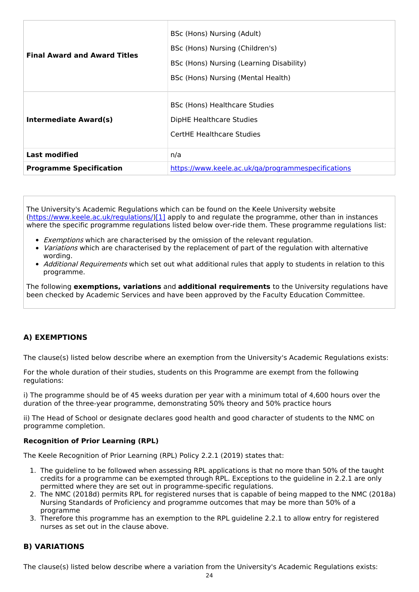| <b>Final Award and Award Titles</b> | BSc (Hons) Nursing (Adult)<br>BSc (Hons) Nursing (Children's)<br>BSc (Hons) Nursing (Learning Disability)<br>BSc (Hons) Nursing (Mental Health) |  |  |
|-------------------------------------|-------------------------------------------------------------------------------------------------------------------------------------------------|--|--|
| <b>Intermediate Award(s)</b>        | BSc (Hons) Healthcare Studies<br>DipHE Healthcare Studies<br>CertHE Healthcare Studies                                                          |  |  |
| <b>Last modified</b>                | n/a                                                                                                                                             |  |  |
| <b>Programme Specification</b>      | https://www.keele.ac.uk/ga/programmespecifications                                                                                              |  |  |

The University's Academic Regulations which can be found on the Keele University website [\(https://www.keele.ac.uk/regulations/](https://www.keele.ac.uk/regulations/)[\)\[1\]](https://scims-api.keele.ac.uk/#_ftn1) apply to and regulate the programme, other than in instances where the specific programme regulations listed below over-ride them. These programme regulations list:

- **Exemptions which are characterised by the omission of the relevant regulation.**
- Variations which are characterised by the replacement of part of the regulation with alternative wording.
- Additional Requirements which set out what additional rules that apply to students in relation to this programme.

The following **exemptions, variations** and **additional requirements** to the University regulations have been checked by Academic Services and have been approved by the Faculty Education Committee.

### **A) EXEMPTIONS**

The clause(s) listed below describe where an exemption from the University's Academic Regulations exists:

For the whole duration of their studies, students on this Programme are exempt from the following regulations:

i) The programme should be of 45 weeks duration per year with a minimum total of 4,600 hours over the duration of the three-year programme, demonstrating 50% theory and 50% practice hours

ii) The Head of School or designate declares good health and good character of students to the NMC on programme completion.

#### **Recognition of Prior Learning (RPL)**

The Keele Recognition of Prior Learning (RPL) Policy 2.2.1 (2019) states that:

- 1. The guideline to be followed when assessing RPL applications is that no more than 50% of the taught credits for a programme can be exempted through RPL. Exceptions to the guideline in 2.2.1 are only permitted where they are set out in programme-specific regulations.
- 2. The NMC (2018d) permits RPL for registered nurses that is capable of being mapped to the NMC (2018a) Nursing Standards of Proficiency and programme outcomes that may be more than 50% of a programme
- 3. Therefore this programme has an exemption to the RPL guideline 2.2.1 to allow entry for registered nurses as set out in the clause above.

### **B) VARIATIONS**

The clause(s) listed below describe where a variation from the University's Academic Regulations exists: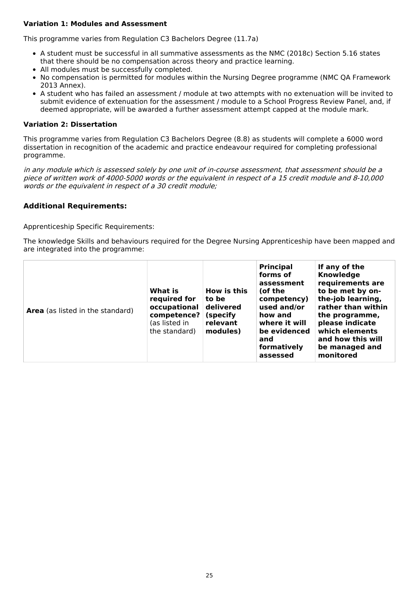### **Variation 1: Modules and Assessment**

This programme varies from Regulation C3 Bachelors Degree (11.7a)

- A student must be successful in all summative assessments as the NMC (2018c) Section 5.16 states that there should be no compensation across theory and practice learning.
- All modules must be successfully completed.
- No compensation is permitted for modules within the Nursing Degree programme (NMC QA Framework 2013 Annex).
- A student who has failed an assessment / module at two attempts with no extenuation will be invited to submit evidence of extenuation for the assessment / module to a School Progress Review Panel, and, if deemed appropriate, will be awarded a further assessment attempt capped at the module mark.

#### **Variation 2: Dissertation**

This programme varies from Regulation C3 Bachelors Degree (8.8) as students will complete a 6000 word dissertation in recognition of the academic and practice endeavour required for completing professional programme.

in any module which is assessed solely by one unit of in-course assessment, that assessment should be <sup>a</sup> piece of written work of 4000-5000 words or the equivalent in respect of <sup>a</sup> 15 credit module and 8-10,000 words or the equivalent in respect of <sup>a</sup> 30 credit module;

### **Additional Requirements:**

Apprenticeship Specific Requirements:

The knowledge Skills and behaviours required for the Degree Nursing Apprenticeship have been mapped and are integrated into the programme:

| What is<br>required for<br>occupational<br><b>Area</b> (as listed in the standard)<br>competence?<br>(as listed in<br>the standard) | How is this<br>to be<br>delivered<br>(specify<br>relevant<br>modules) | <b>Principal</b><br>forms of<br>assessment<br>(of the<br>competency)<br>used and/or<br>how and<br>where it will<br>be evidenced<br>and<br>formatively<br>assessed | If any of the<br>Knowledge<br>requirements are<br>to be met by on-<br>the-job learning,<br>rather than within<br>the programme,<br>please indicate<br>which elements<br>and how this will<br>be managed and<br>monitored |
|-------------------------------------------------------------------------------------------------------------------------------------|-----------------------------------------------------------------------|-------------------------------------------------------------------------------------------------------------------------------------------------------------------|--------------------------------------------------------------------------------------------------------------------------------------------------------------------------------------------------------------------------|
|-------------------------------------------------------------------------------------------------------------------------------------|-----------------------------------------------------------------------|-------------------------------------------------------------------------------------------------------------------------------------------------------------------|--------------------------------------------------------------------------------------------------------------------------------------------------------------------------------------------------------------------------|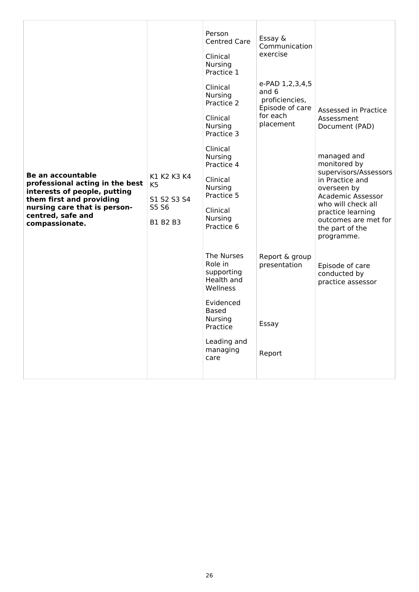| <b>Be an accountable</b><br>professional acting in the best<br>interests of people, putting<br>them first and providing<br>nursing care that is person-<br>centred, safe and<br>compassionate. | K1 K2 K3 K4<br>K <sub>5</sub><br>S1 S2 S3 S4<br>S5 S6<br>B1 B2 B3 | Person<br><b>Centred Care</b><br>Clinical<br><b>Nursing</b><br>Practice 1<br>Clinical<br><b>Nursing</b><br>Practice 2<br>Clinical<br><b>Nursing</b><br>Practice 3<br>Clinical<br><b>Nursing</b><br>Practice 4<br>Clinical<br><b>Nursing</b><br>Practice 5<br>Clinical<br><b>Nursing</b><br>Practice 6 | Essay &<br>Communication<br>exercise<br>e-PAD 1,2,3,4,5<br>and 6<br>proficiencies,<br>Episode of care<br>for each<br>placement | Assessed in Practice<br>Assessment<br>Document (PAD)<br>managed and<br>monitored by<br>supervisors/Assessors<br>in Practice and<br>overseen by<br>Academic Assessor<br>who will check all<br>practice learning<br>outcomes are met for<br>the part of the<br>programme. |
|------------------------------------------------------------------------------------------------------------------------------------------------------------------------------------------------|-------------------------------------------------------------------|-------------------------------------------------------------------------------------------------------------------------------------------------------------------------------------------------------------------------------------------------------------------------------------------------------|--------------------------------------------------------------------------------------------------------------------------------|-------------------------------------------------------------------------------------------------------------------------------------------------------------------------------------------------------------------------------------------------------------------------|
|                                                                                                                                                                                                |                                                                   | The Nurses<br>Role in<br>supporting<br>Health and<br>Wellness<br>Evidenced<br>Based<br><b>Nursing</b><br>Practice<br>Leading and<br>managing<br>care                                                                                                                                                  | Report & group<br>presentation<br>Essay<br>Report                                                                              | Episode of care<br>conducted by<br>practice assessor                                                                                                                                                                                                                    |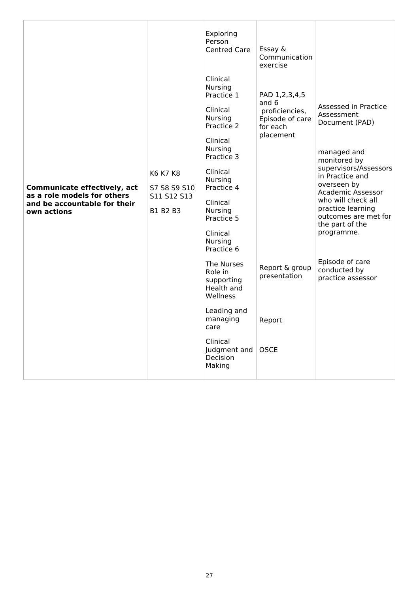| <b>Communicate effectively, act</b><br>as a role models for others<br>and be accountable for their<br>own actions | K6 K7 K8<br>S7 S8 S9 S10<br>S11 S12 S13<br>B1 B2 B3 | Exploring<br>Person<br><b>Centred Care</b><br>Clinical<br>Nursing<br>Practice 1<br>Clinical<br><b>Nursing</b><br>Practice 2<br>Clinical<br><b>Nursing</b><br>Practice 3<br>Clinical<br>Nursing<br>Practice 4<br>Clinical<br><b>Nursing</b><br>Practice 5<br>Clinical<br>Nursing<br>Practice 6 | Essay &<br>Communication<br>exercise<br>PAD 1,2,3,4,5<br>and 6<br>proficiencies,<br>Episode of care<br>for each<br>placement | Assessed in Practice<br>Assessment<br>Document (PAD)<br>managed and<br>monitored by<br>supervisors/Assessors<br>in Practice and<br>overseen by<br><b>Academic Assessor</b><br>who will check all<br>practice learning<br>outcomes are met for<br>the part of the<br>programme. |
|-------------------------------------------------------------------------------------------------------------------|-----------------------------------------------------|-----------------------------------------------------------------------------------------------------------------------------------------------------------------------------------------------------------------------------------------------------------------------------------------------|------------------------------------------------------------------------------------------------------------------------------|--------------------------------------------------------------------------------------------------------------------------------------------------------------------------------------------------------------------------------------------------------------------------------|
|                                                                                                                   |                                                     | The Nurses<br>Role in<br>supporting<br>Health and<br>Wellness                                                                                                                                                                                                                                 | Report & group<br>presentation                                                                                               | Episode of care<br>conducted by<br>practice assessor                                                                                                                                                                                                                           |
|                                                                                                                   |                                                     | Leading and<br>managing<br>care                                                                                                                                                                                                                                                               | Report                                                                                                                       |                                                                                                                                                                                                                                                                                |
|                                                                                                                   |                                                     | Clinical<br>Judgment and<br>Decision<br>Making                                                                                                                                                                                                                                                | <b>OSCE</b>                                                                                                                  |                                                                                                                                                                                                                                                                                |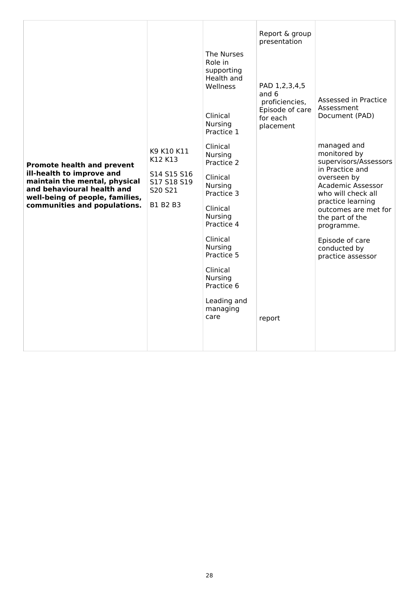| <b>Promote health and prevent</b><br>ill-health to improve and<br>maintain the mental, physical<br>and behavioural health and<br>well-being of people, families,<br>communities and populations. | K9 K10 K11<br>K12 K13<br>S14 S15 S16<br>S17 S18 S19<br>S20 S21<br>B1 B2 B3 | The Nurses<br>Role in<br>supporting<br>Health and<br>Wellness<br>Clinical<br><b>Nursing</b><br>Practice 1<br>Clinical<br><b>Nursing</b><br>Practice 2<br>Clinical<br><b>Nursing</b><br>Practice 3<br>Clinical<br><b>Nursing</b><br>Practice 4<br>Clinical<br>Nursing<br>Practice 5<br>Clinical<br><b>Nursing</b><br>Practice 6<br>Leading and<br>managing<br>care | Report & group<br>presentation<br>PAD 1,2,3,4,5<br>and 6<br>proficiencies,<br>Episode of care<br>for each<br>placement<br>report | Assessed in Practice<br>Assessment<br>Document (PAD)<br>managed and<br>monitored by<br>supervisors/Assessors<br>in Practice and<br>overseen by<br>Academic Assessor<br>who will check all<br>practice learning<br>outcomes are met for<br>the part of the<br>programme.<br>Episode of care<br>conducted by<br>practice assessor |
|--------------------------------------------------------------------------------------------------------------------------------------------------------------------------------------------------|----------------------------------------------------------------------------|-------------------------------------------------------------------------------------------------------------------------------------------------------------------------------------------------------------------------------------------------------------------------------------------------------------------------------------------------------------------|----------------------------------------------------------------------------------------------------------------------------------|---------------------------------------------------------------------------------------------------------------------------------------------------------------------------------------------------------------------------------------------------------------------------------------------------------------------------------|
|--------------------------------------------------------------------------------------------------------------------------------------------------------------------------------------------------|----------------------------------------------------------------------------|-------------------------------------------------------------------------------------------------------------------------------------------------------------------------------------------------------------------------------------------------------------------------------------------------------------------------------------------------------------------|----------------------------------------------------------------------------------------------------------------------------------|---------------------------------------------------------------------------------------------------------------------------------------------------------------------------------------------------------------------------------------------------------------------------------------------------------------------------------|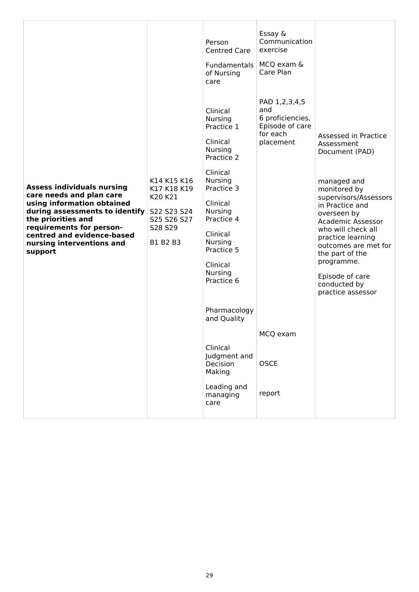| <b>Assess individuals nursing</b><br>care needs and plan care<br>using information obtained<br>during assessments to identify<br>the priorities and<br>requirements for person-<br>centred and evidence-based<br>nursing interventions and<br>support | K14 K15 K16<br>K17 K18 K19<br>K20 K21<br>S22 S23 S24<br>S25 S26 S27<br>S28 S29<br>B1 B2 B3 | Person<br><b>Centred Care</b><br>Fundamentals<br>of Nursing<br>care<br>Clinical<br>Nursing<br>Practice 1<br>Clinical<br><b>Nursing</b><br>Practice 2<br>Clinical<br><b>Nursing</b><br>Practice 3<br>Clinical<br>Nursing<br>Practice 4<br>Clinical<br><b>Nursing</b><br>Practice 5<br>Clinical<br><b>Nursing</b><br>Practice 6<br>Pharmacology<br>and Quality<br>Clinical<br>Judgment and<br>Decision | Essay &<br>Communication<br>exercise<br>MCQ exam &<br>Care Plan<br>PAD 1,2,3,4,5<br>and<br>6 proficiencies,<br>Episode of care<br>for each<br>placement<br>MCQ exam<br><b>OSCE</b> | Assessed in Practice<br>Assessment<br>Document (PAD)<br>managed and<br>monitored by<br>supervisors/Assessors<br>in Practice and<br>overseen by<br><b>Academic Assessor</b><br>who will check all<br>practice learning<br>outcomes are met for<br>the part of the<br>programme.<br>Episode of care<br>conducted by<br>practice assessor |
|-------------------------------------------------------------------------------------------------------------------------------------------------------------------------------------------------------------------------------------------------------|--------------------------------------------------------------------------------------------|------------------------------------------------------------------------------------------------------------------------------------------------------------------------------------------------------------------------------------------------------------------------------------------------------------------------------------------------------------------------------------------------------|------------------------------------------------------------------------------------------------------------------------------------------------------------------------------------|----------------------------------------------------------------------------------------------------------------------------------------------------------------------------------------------------------------------------------------------------------------------------------------------------------------------------------------|
|                                                                                                                                                                                                                                                       |                                                                                            | Making<br>Leading and<br>managing<br>care                                                                                                                                                                                                                                                                                                                                                            | report                                                                                                                                                                             |                                                                                                                                                                                                                                                                                                                                        |
|                                                                                                                                                                                                                                                       |                                                                                            |                                                                                                                                                                                                                                                                                                                                                                                                      |                                                                                                                                                                                    |                                                                                                                                                                                                                                                                                                                                        |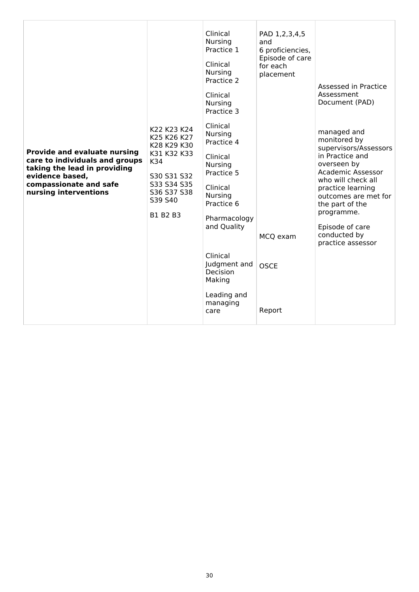| <b>Provide and evaluate nursing</b><br>care to individuals and groups<br>taking the lead in providing<br>evidence based,<br>compassionate and safe<br>nursing interventions | K22 K23 K24<br>K25 K26 K27<br>K28 K29 K30<br>K31 K32 K33<br>K34<br>S30 S31 S32<br>S33 S34 S35<br>S36 S37 S38<br>S39 S40<br>B1 B2 B3 | Clinical<br>Nursing<br>Practice 1<br>Clinical<br><b>Nursing</b><br>Practice 2<br>Clinical<br><b>Nursing</b><br>Practice 3<br>Clinical<br><b>Nursing</b><br>Practice 4<br>Clinical<br><b>Nursing</b><br>Practice 5<br>Clinical<br><b>Nursing</b><br>Practice 6<br>Pharmacology<br>and Quality<br>Clinical<br>Judgment and<br><b>Decision</b><br>Making<br>Leading and<br>managing<br>care | PAD 1,2,3,4,5<br>and<br>6 proficiencies,<br>Episode of care<br>for each<br>placement<br>MCQ exam<br><b>OSCE</b><br>Report | Assessed in Practice<br>Assessment<br>Document (PAD)<br>managed and<br>monitored by<br>supervisors/Assessors<br>in Practice and<br>overseen by<br>Academic Assessor<br>who will check all<br>practice learning<br>outcomes are met for<br>the part of the<br>programme.<br>Episode of care<br>conducted by<br>practice assessor |
|-----------------------------------------------------------------------------------------------------------------------------------------------------------------------------|-------------------------------------------------------------------------------------------------------------------------------------|------------------------------------------------------------------------------------------------------------------------------------------------------------------------------------------------------------------------------------------------------------------------------------------------------------------------------------------------------------------------------------------|---------------------------------------------------------------------------------------------------------------------------|---------------------------------------------------------------------------------------------------------------------------------------------------------------------------------------------------------------------------------------------------------------------------------------------------------------------------------|
|-----------------------------------------------------------------------------------------------------------------------------------------------------------------------------|-------------------------------------------------------------------------------------------------------------------------------------|------------------------------------------------------------------------------------------------------------------------------------------------------------------------------------------------------------------------------------------------------------------------------------------------------------------------------------------------------------------------------------------|---------------------------------------------------------------------------------------------------------------------------|---------------------------------------------------------------------------------------------------------------------------------------------------------------------------------------------------------------------------------------------------------------------------------------------------------------------------------|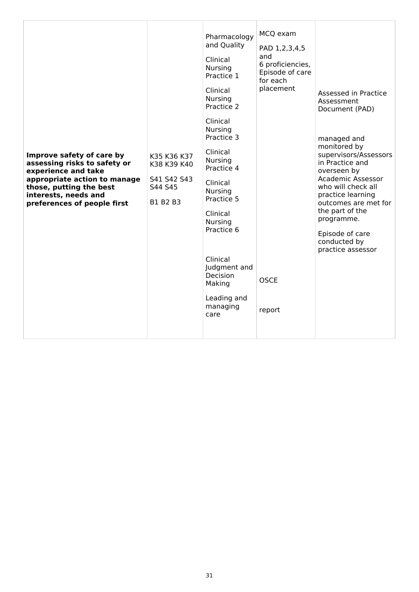| Improve safety of care by<br>assessing risks to safety or<br>experience and take<br>appropriate action to manage<br>those, putting the best<br>interests, needs and<br>preferences of people first | K35 K36 K37<br>K38 K39 K40<br>S41 S42 S43<br>S44 S45<br>B1 B2 B3 | Pharmacology<br>and Quality<br>Clinical<br><b>Nursing</b><br>Practice 1<br>Clinical<br><b>Nursing</b><br>Practice 2<br>Clinical<br><b>Nursing</b><br>Practice 3<br>Clinical<br><b>Nursing</b><br>Practice 4<br>Clinical<br><b>Nursing</b><br>Practice 5<br>Clinical<br><b>Nursing</b><br>Practice 6<br>Clinical<br>Judgment and<br><b>Decision</b><br>Making<br>Leading and<br>managing<br>care | MCQ exam<br>PAD 1,2,3,4,5<br>and<br>6 proficiencies,<br>Episode of care<br>for each<br>placement<br><b>OSCE</b><br>report | Assessed in Practice<br>Assessment<br>Document (PAD)<br>managed and<br>monitored by<br>supervisors/Assessors<br>in Practice and<br>overseen by<br>Academic Assessor<br>who will check all<br>practice learning<br>outcomes are met for<br>the part of the<br>programme.<br>Episode of care<br>conducted by<br>practice assessor |
|----------------------------------------------------------------------------------------------------------------------------------------------------------------------------------------------------|------------------------------------------------------------------|-------------------------------------------------------------------------------------------------------------------------------------------------------------------------------------------------------------------------------------------------------------------------------------------------------------------------------------------------------------------------------------------------|---------------------------------------------------------------------------------------------------------------------------|---------------------------------------------------------------------------------------------------------------------------------------------------------------------------------------------------------------------------------------------------------------------------------------------------------------------------------|
|----------------------------------------------------------------------------------------------------------------------------------------------------------------------------------------------------|------------------------------------------------------------------|-------------------------------------------------------------------------------------------------------------------------------------------------------------------------------------------------------------------------------------------------------------------------------------------------------------------------------------------------------------------------------------------------|---------------------------------------------------------------------------------------------------------------------------|---------------------------------------------------------------------------------------------------------------------------------------------------------------------------------------------------------------------------------------------------------------------------------------------------------------------------------|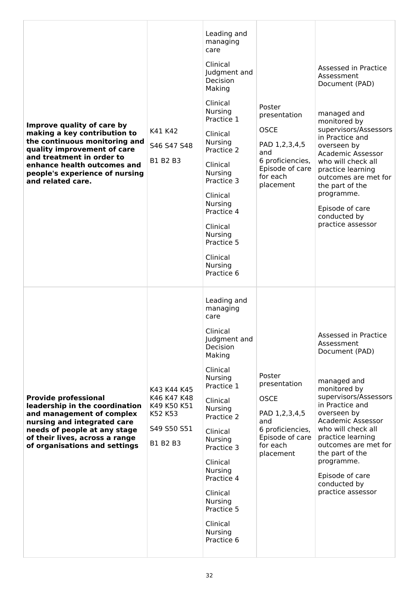| Improve quality of care by<br>making a key contribution to<br>the continuous monitoring and<br>quality improvement of care<br>and treatment in order to<br>enhance health outcomes and<br>people's experience of nursing<br>and related care. | K41 K42<br>S46 S47 S48<br>B1 B2 B3                                              | Leading and<br>managing<br>care<br>Clinical<br>Judgment and<br><b>Decision</b><br>Making<br>Clinical<br>Nursing<br>Practice 1<br>Clinical<br><b>Nursing</b><br>Practice 2<br>Clinical<br><b>Nursing</b><br>Practice 3<br>Clinical<br><b>Nursing</b><br>Practice 4<br>Clinical<br><b>Nursing</b><br>Practice 5<br>Clinical<br><b>Nursing</b><br>Practice 6 | Poster<br>presentation<br><b>OSCE</b><br>PAD 1,2,3,4,5<br>and<br>6 proficiencies,<br>Episode of care<br>for each<br>placement | Assessed in Practice<br>Assessment<br>Document (PAD)<br>managed and<br>monitored by<br>supervisors/Assessors<br>in Practice and<br>overseen by<br><b>Academic Assessor</b><br>who will check all<br>practice learning<br>outcomes are met for<br>the part of the<br>programme.<br>Episode of care<br>conducted by<br>practice assessor |
|-----------------------------------------------------------------------------------------------------------------------------------------------------------------------------------------------------------------------------------------------|---------------------------------------------------------------------------------|-----------------------------------------------------------------------------------------------------------------------------------------------------------------------------------------------------------------------------------------------------------------------------------------------------------------------------------------------------------|-------------------------------------------------------------------------------------------------------------------------------|----------------------------------------------------------------------------------------------------------------------------------------------------------------------------------------------------------------------------------------------------------------------------------------------------------------------------------------|
| <b>Provide professional</b><br>leadership in the coordination<br>and management of complex<br>nursing and integrated care<br>needs of people at any stage<br>of their lives, across a range<br>of organisations and settings                  | K43 K44 K45<br>K46 K47 K48<br>K49 K50 K51<br>K52 K53<br>S49 S50 S51<br>B1 B2 B3 | Leading and<br>managing<br>care<br>Clinical<br>Judgment and<br>Decision<br>Making<br>Clinical<br>Nursing<br>Practice 1<br>Clinical<br><b>Nursing</b><br>Practice 2<br>Clinical<br><b>Nursing</b><br>Practice 3<br>Clinical<br><b>Nursing</b><br>Practice 4<br>Clinical<br><b>Nursing</b><br>Practice 5<br>Clinical<br><b>Nursing</b><br>Practice 6        | Poster<br>presentation<br><b>OSCE</b><br>PAD 1,2,3,4,5<br>and<br>6 proficiencies,<br>Episode of care<br>for each<br>placement | Assessed in Practice<br>Assessment<br>Document (PAD)<br>managed and<br>monitored by<br>supervisors/Assessors<br>in Practice and<br>overseen by<br>Academic Assessor<br>who will check all<br>practice learning<br>outcomes are met for<br>the part of the<br>programme.<br>Episode of care<br>conducted by<br>practice assessor        |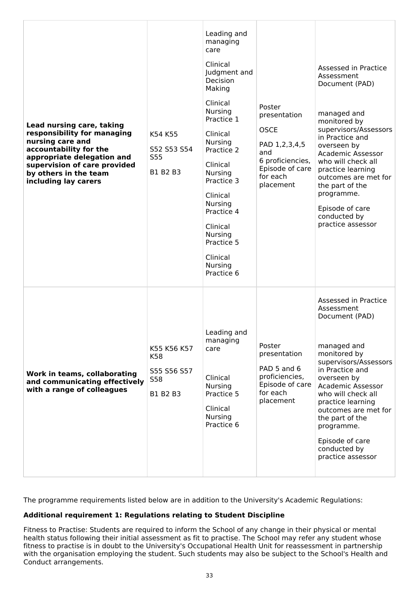| Lead nursing care, taking<br>responsibility for managing<br>nursing care and<br>accountability for the<br>appropriate delegation and<br>supervision of care provided<br>by others in the team<br>including lay carers | K54 K55<br>S52 S53 S54<br>S55<br>B1 B2 B3                   | Leading and<br>managing<br>care<br>Clinical<br>Judgment and<br><b>Decision</b><br>Making<br>Clinical<br><b>Nursing</b><br>Practice 1<br>Clinical<br><b>Nursing</b><br>Practice 2<br>Clinical<br><b>Nursing</b><br>Practice 3<br>Clinical<br>Nursing<br>Practice 4<br>Clinical<br>Nursing<br>Practice 5<br>Clinical<br><b>Nursing</b><br>Practice 6 | Poster<br>presentation<br><b>OSCE</b><br>PAD 1,2,3,4,5<br>and<br>6 proficiencies,<br>Episode of care<br>for each<br>placement | Assessed in Practice<br>Assessment<br>Document (PAD)<br>managed and<br>monitored by<br>supervisors/Assessors<br>in Practice and<br>overseen by<br>Academic Assessor<br>who will check all<br>practice learning<br>outcomes are met for<br>the part of the<br>programme.<br>Episode of care<br>conducted by<br>practice assessor |
|-----------------------------------------------------------------------------------------------------------------------------------------------------------------------------------------------------------------------|-------------------------------------------------------------|----------------------------------------------------------------------------------------------------------------------------------------------------------------------------------------------------------------------------------------------------------------------------------------------------------------------------------------------------|-------------------------------------------------------------------------------------------------------------------------------|---------------------------------------------------------------------------------------------------------------------------------------------------------------------------------------------------------------------------------------------------------------------------------------------------------------------------------|
| Work in teams, collaborating<br>and communicating effectively<br>with a range of colleagues                                                                                                                           | K55 K56 K57<br>K58<br>S55 S56 S57<br><b>S58</b><br>B1 B2 B3 | Leading and<br>managing<br>care<br>Clinical<br>Nursing<br>Practice 5<br>Clinical<br><b>Nursing</b><br>Practice 6                                                                                                                                                                                                                                   | Poster<br>presentation<br>PAD 5 and 6<br>proficiencies,<br>Episode of care<br>for each<br>placement                           | Assessed in Practice<br>Assessment<br>Document (PAD)<br>managed and<br>monitored by<br>supervisors/Assessors<br>in Practice and<br>overseen by<br>Academic Assessor<br>who will check all<br>practice learning<br>outcomes are met for<br>the part of the<br>programme.<br>Episode of care<br>conducted by<br>practice assessor |

The programme requirements listed below are in addition to the University's Academic Regulations:

### **Additional requirement 1: Regulations relating to Student Discipline**

Fitness to Practise: Students are required to inform the School of any change in their physical or mental health status following their initial assessment as fit to practise. The School may refer any student whose fitness to practise is in doubt to the University's Occupational Health Unit for reassessment in partnership with the organisation employing the student. Such students may also be subject to the School's Health and Conduct arrangements.